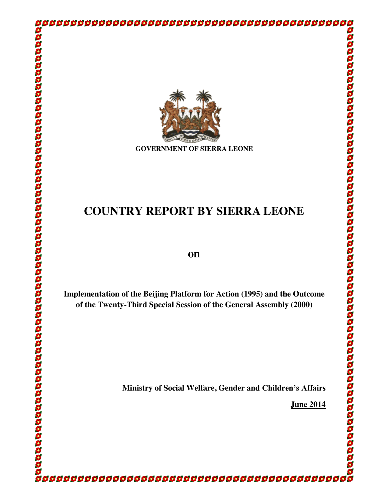

**GOVERNMENT OF SIERRA LEONE**

# **COUNTRY REPORT BY SIERRA LEONE**

# **on**

**Implementation of the Beijing Platform for Action (1995) and the Outcome of the Twenty-Third Special Session of the General Assembly (2000)**

**Ministry of Social Welfare, Gender and Children's Affairs**

**June 2014**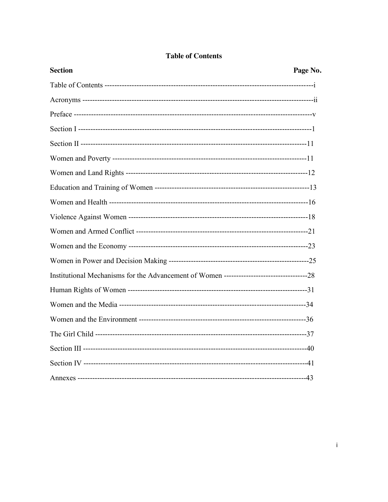| <b>Section</b> | Page No. |
|----------------|----------|
|                |          |
|                |          |
|                |          |
|                |          |
|                |          |
|                |          |
|                |          |
|                |          |
|                |          |
|                |          |
|                |          |
|                |          |
|                |          |
|                |          |
|                |          |
|                |          |
|                |          |
|                |          |
|                |          |
|                |          |
|                |          |

# **Table of Contents**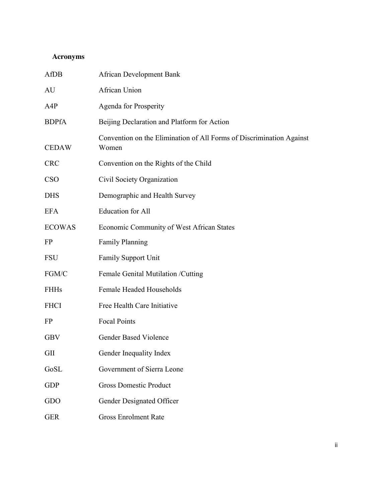# **Acronyms**

| AfDB          | <b>African Development Bank</b>                                               |
|---------------|-------------------------------------------------------------------------------|
| AU            | African Union                                                                 |
| A4P           | Agenda for Prosperity                                                         |
| <b>BDPfA</b>  | Beijing Declaration and Platform for Action                                   |
| <b>CEDAW</b>  | Convention on the Elimination of All Forms of Discrimination Against<br>Women |
| <b>CRC</b>    | Convention on the Rights of the Child                                         |
| <b>CSO</b>    | Civil Society Organization                                                    |
| <b>DHS</b>    | Demographic and Health Survey                                                 |
| EFA           | <b>Education</b> for All                                                      |
| <b>ECOWAS</b> | Economic Community of West African States                                     |
| FP            | <b>Family Planning</b>                                                        |
| FSU           | <b>Family Support Unit</b>                                                    |
| FGM/C         | Female Genital Mutilation / Cutting                                           |
| <b>FHHs</b>   | Female Headed Households                                                      |
| <b>FHCI</b>   | Free Health Care Initiative                                                   |
| FP            | <b>Focal Points</b>                                                           |
| GBV           | <b>Gender Based Violence</b>                                                  |
| GII           | Gender Inequality Index                                                       |
| GoSL          | Government of Sierra Leone                                                    |
| <b>GDP</b>    | <b>Gross Domestic Product</b>                                                 |
| GDO           | Gender Designated Officer                                                     |
| <b>GER</b>    | <b>Gross Enrolment Rate</b>                                                   |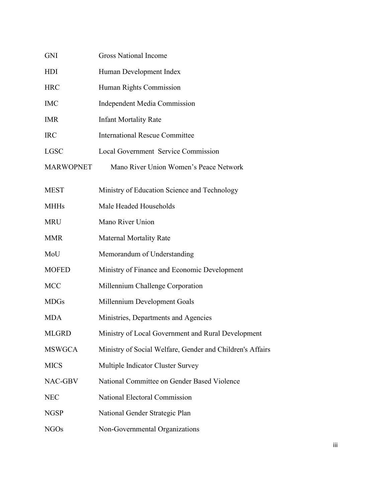| <b>GNI</b>       | <b>Gross National Income</b>                              |
|------------------|-----------------------------------------------------------|
| HDI              | Human Development Index                                   |
| <b>HRC</b>       | Human Rights Commission                                   |
| <b>IMC</b>       | <b>Independent Media Commission</b>                       |
| <b>IMR</b>       | <b>Infant Mortality Rate</b>                              |
| <b>IRC</b>       | <b>International Rescue Committee</b>                     |
| <b>LGSC</b>      | <b>Local Government Service Commission</b>                |
| <b>MARWOPNET</b> | Mano River Union Women's Peace Network                    |
| <b>MEST</b>      | Ministry of Education Science and Technology              |
| <b>MHHs</b>      | Male Headed Households                                    |
| <b>MRU</b>       | Mano River Union                                          |
| <b>MMR</b>       | <b>Maternal Mortality Rate</b>                            |
| MoU              | Memorandum of Understanding                               |
| <b>MOFED</b>     | Ministry of Finance and Economic Development              |
| <b>MCC</b>       | Millennium Challenge Corporation                          |
| <b>MDGs</b>      | Millennium Development Goals                              |
| <b>MDA</b>       | Ministries, Departments and Agencies                      |
| <b>MLGRD</b>     | Ministry of Local Government and Rural Development        |
| <b>MSWGCA</b>    | Ministry of Social Welfare, Gender and Children's Affairs |
| <b>MICS</b>      | Multiple Indicator Cluster Survey                         |
| NAC-GBV          | National Committee on Gender Based Violence               |
| <b>NEC</b>       | National Electoral Commission                             |
| <b>NGSP</b>      | National Gender Strategic Plan                            |
| <b>NGOs</b>      | Non-Governmental Organizations                            |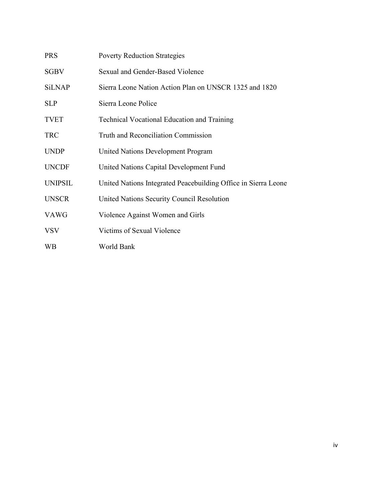| <b>PRS</b>     | <b>Poverty Reduction Strategies</b>                            |
|----------------|----------------------------------------------------------------|
| <b>SGBV</b>    | Sexual and Gender-Based Violence                               |
| <b>SiLNAP</b>  | Sierra Leone Nation Action Plan on UNSCR 1325 and 1820         |
| <b>SLP</b>     | Sierra Leone Police                                            |
| <b>TVET</b>    | <b>Technical Vocational Education and Training</b>             |
| <b>TRC</b>     | Truth and Reconciliation Commission                            |
| <b>UNDP</b>    | United Nations Development Program                             |
| <b>UNCDF</b>   | United Nations Capital Development Fund                        |
| <b>UNIPSIL</b> | United Nations Integrated Peacebuilding Office in Sierra Leone |
| <b>UNSCR</b>   | United Nations Security Council Resolution                     |
| <b>VAWG</b>    | Violence Against Women and Girls                               |
| <b>VSV</b>     | Victims of Sexual Violence                                     |
| <b>WB</b>      | World Bank                                                     |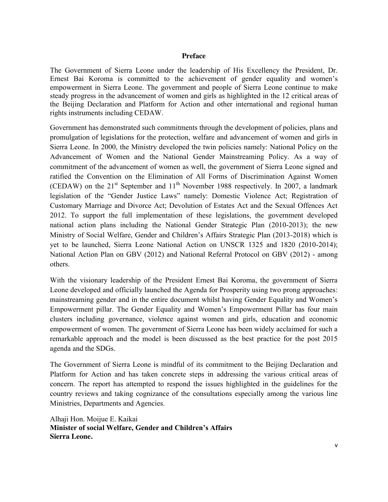#### **Preface**

The Government of Sierra Leone under the leadership of His Excellency the President, Dr. Ernest Bai Koroma is committed to the achievement of gender equality and women's empowerment in Sierra Leone. The government and people of Sierra Leone continue to make steady progress in the advancement of women and girls as highlighted in the 12 critical areas of the Beijing Declaration and Platform for Action and other international and regional human rights instruments including CEDAW.

Government has demonstrated such commitments through the development of policies, plans and promulgation of legislations for the protection, welfare and advancement of women and girls in Sierra Leone. In 2000, the Ministry developed the twin policies namely: National Policy on the Advancement of Women and the National Gender Mainstreaming Policy. As a way of commitment of the advancement of women as well, the government of Sierra Leone signed and ratified the Convention on the Elimination of All Forms of Discrimination Against Women (CEDAW) on the  $21<sup>st</sup>$  September and  $11<sup>th</sup>$  November 1988 respectively. In 2007, a landmark legislation of the "Gender Justice Laws" namely: Domestic Violence Act; Registration of Customary Marriage and Divorce Act; Devolution of Estates Act and the Sexual Offences Act 2012. To support the full implementation of these legislations, the government developed national action plans including the National Gender Strategic Plan (2010-2013); the new Ministry of Social Welfare, Gender and Children's Affairs Strategic Plan (2013-2018) which is yet to be launched, Sierra Leone National Action on UNSCR 1325 and 1820 (2010-2014); National Action Plan on GBV (2012) and National Referral Protocol on GBV (2012) - among others.

With the visionary leadership of the President Ernest Bai Koroma, the government of Sierra Leone developed and officially launched the Agenda for Prosperity using two prong approaches: mainstreaming gender and in the entire document whilst having Gender Equality and Women's Empowerment pillar. The Gender Equality and Women's Empowerment Pillar has four main clusters including governance, violence against women and girls, education and economic empowerment of women. The government of Sierra Leone has been widely acclaimed for such a remarkable approach and the model is been discussed as the best practice for the post 2015 agenda and the SDGs.

The Government of Sierra Leone is mindful of its commitment to the Beijing Declaration and Platform for Action and has taken concrete steps in addressing the various critical areas of concern. The report has attempted to respond the issues highlighted in the guidelines for the country reviews and taking cognizance of the consultations especially among the various line Ministries, Departments and Agencies.

Alhaji Hon. Moijue E. Kaikai **Minister of social Welfare, Gender and Children's Affairs Sierra Leone.**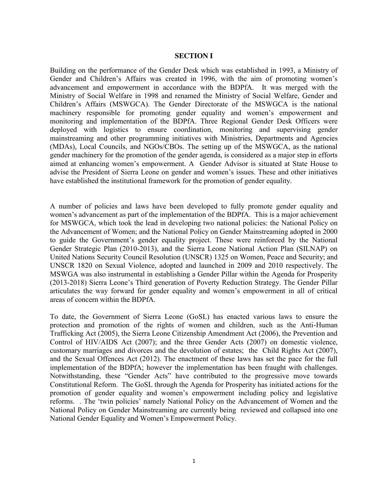#### **SECTION I**

Building on the performance of the Gender Desk which was established in 1993, a Ministry of Gender and Children's Affairs was created in 1996, with the aim of promoting women's advancement and empowerment in accordance with the BDPfA. It was merged with the Ministry of Social Welfare in 1998 and renamed the Ministry of Social Welfare, Gender and Children's Affairs (MSWGCA). The Gender Directorate of the MSWGCA is the national machinery responsible for promoting gender equality and women's empowerment and monitoring and implementation of the BDPfA. Three Regional Gender Desk Officers were deployed with logistics to ensure coordination, monitoring and supervising gender mainstreaming and other programming initiatives with Ministries, Departments and Agencies (MDAs), Local Councils, and NGOs/CBOs. The setting up of the MSWGCA, as the national gender machinery for the promotion of the gender agenda, is considered as a major step in efforts aimed at enhancing women's empowerment. A Gender Advisor is situated at State House to advise the President of Sierra Leone on gender and women's issues. These and other initiatives have established the institutional framework for the promotion of gender equality.

A number of policies and laws have been developed to fully promote gender equality and women's advancement as part of the implementation of the BDPfA. This is a major achievement for MSWGCA, which took the lead in developing two national policies: the National Policy on the Advancement of Women; and the National Policy on Gender Mainstreaming adopted in 2000 to guide the Government's gender equality project. These were reinforced by the National Gender Strategic Plan (2010-2013), and the Sierra Leone National Action Plan (SILNAP) on United Nations Security Council Resolution (UNSCR) 1325 on Women, Peace and Security; and UNSCR 1820 on Sexual Violence, adopted and launched in 2009 and 2010 respectively. The MSWGA was also instrumental in establishing a Gender Pillar within the Agenda for Prosperity (2013-2018) Sierra Leone's Third generation of Poverty Reduction Strategy. The Gender Pillar articulates the way forward for gender equality and women's empowerment in all of critical areas of concern within the BDPfA.

To date, the Government of Sierra Leone (GoSL) has enacted various laws to ensure the protection and promotion of the rights of women and children, such as the Anti-Human Trafficking Act (2005), the Sierra Leone Citizenship Amendment Act (2006), the Prevention and Control of HIV/AIDS Act (2007); and the three Gender Acts (2007) on domestic violence, customary marriages and divorces and the devolution of estates; the Child Rights Act (2007), and the Sexual Offences Act (2012). The enactment of these laws has set the pace for the full implementation of the BDPfA; however the implementation has been fraught with challenges. Notwithstanding, these "Gender Acts" have contributed to the progressive move towards Constitutional Reform. The GoSL through the Agenda for Prosperity has initiated actions for the promotion of gender equality and women's empowerment including policy and legislative reforms. . The 'twin policies' namely National Policy on the Advancement of Women and the National Policy on Gender Mainstreaming are currently being reviewed and collapsed into one National Gender Equality and Women's Empowerment Policy.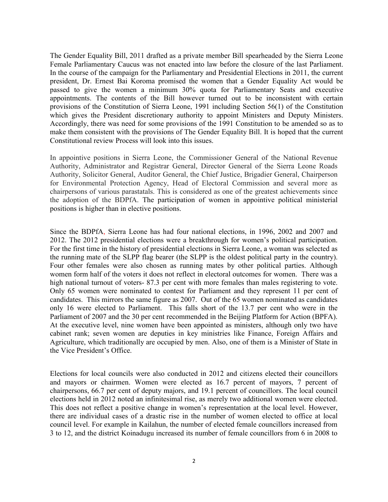The Gender Equality Bill, 2011 drafted as a private member Bill spearheaded by the Sierra Leone Female Parliamentary Caucus was not enacted into law before the closure of the last Parliament. In the course of the campaign for the Parliamentary and Presidential Elections in 2011, the current president, Dr. Ernest Bai Koroma promised the women that a Gender Equality Act would be passed to give the women a minimum 30% quota for Parliamentary Seats and executive appointments. The contents of the Bill however turned out to be inconsistent with certain provisions of the Constitution of Sierra Leone, 1991 including Section 56(1) of the Constitution which gives the President discretionary authority to appoint Ministers and Deputy Ministers. Accordingly, there was need for some provisions of the 1991 Constitution to be amended so as to make them consistent with the provisions of The Gender Equality Bill. It is hoped that the current Constitutional review Process will look into this issues.

In appointive positions in Sierra Leone, the Commissioner General of the National Revenue Authority, Administrator and Registrar General, Director General of the Sierra Leone Roads Authority, Solicitor General, Auditor General, the Chief Justice, Brigadier General, Chairperson for Environmental Protection Agency, Head of Electoral Commission and several more as chairpersons of various parastatals. This is considered as one of the greatest achievements since the adoption of the BDPfA. The participation of women in appointive political ministerial positions is higher than in elective positions.

Since the BDPfA, Sierra Leone has had four national elections, in 1996, 2002 and 2007 and 2012. The 2012 presidential elections were a breakthrough for women's political participation. For the first time in the history of presidential elections in Sierra Leone, a woman was selected as the running mate of the SLPP flag bearer (the SLPP is the oldest political party in the country). Four other females were also chosen as running mates by other political parties. Although women form half of the voters it does not reflect in electoral outcomes for women. There was a high national turnout of voters- 87.3 per cent with more females than males registering to vote. Only 65 women were nominated to contest for Parliament and they represent 11 per cent of candidates. This mirrors the same figure as 2007. Out of the 65 women nominated as candidates only 16 were elected to Parliament. This falls short of the 13.7 per cent who were in the Parliament of 2007 and the 30 per cent recommended in the Beijing Platform for Action (BPFA). At the executive level, nine women have been appointed as ministers, although only two have cabinet rank; seven women are deputies in key ministries like Finance, Foreign Affairs and Agriculture, which traditionally are occupied by men. Also, one of them is a Minister of State in the Vice President's Office.

Elections for local councils were also conducted in 2012 and citizens elected their councillors and mayors or chairmen. Women were elected as 16.7 percent of mayors, 7 percent of chairpersons, 66.7 per cent of deputy majors, and 19.1 percent of councillors. The local council elections held in 2012 noted an infinitesimal rise, as merely two additional women were elected. This does not reflect a positive change in women's representation at the local level. However, there are individual cases of a drastic rise in the number of women elected to office at local council level. For example in Kailahun, the number of elected female councillors increased from 3 to 12, and the district Koinadugu increased its number of female councillors from 6 in 2008 to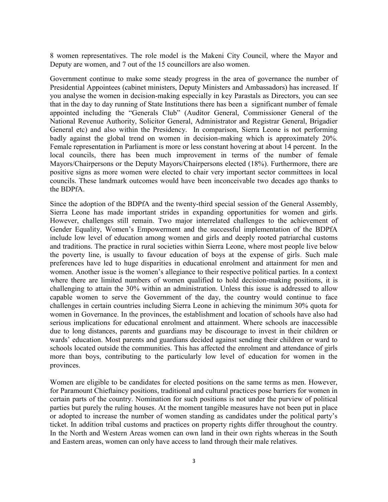8 women representatives. The role model is the Makeni City Council, where the Mayor and Deputy are women, and 7 out of the 15 councillors are also women.

Government continue to make some steady progress in the area of governance the number of Presidential Appointees (cabinet ministers, Deputy Ministers and Ambassadors) has increased. If you analyse the women in decision-making especially in key Parastals as Directors, you can see that in the day to day running of State Institutions there has been a significant number of female appointed including the "Generals Club" (Auditor General, Commissioner General of the National Revenue Authority, Solicitor General, Administrator and Registrar General, Brigadier General etc) and also within the Presidency. In comparison, Sierra Leone is not performing badly against the global trend on women in decision-making which is approximately 20%. Female representation in Parliament is more or less constant hovering at about 14 percent. In the local councils, there has been much improvement in terms of the number of female Mayors/Chairpersons or the Deputy Mayors/Chairpersons elected (18%). Furthermore, there are positive signs as more women were elected to chair very important sector committees in local councils. These landmark outcomes would have been inconceivable two decades ago thanks to the BDPfA.

Since the adoption of the BDPfA and the twenty-third special session of the General Assembly, Sierra Leone has made important strides in expanding opportunities for women and girls. However, challenges still remain. Two major interrelated challenges to the achievement of Gender Equality, Women's Empowerment and the successful implementation of the BDPfA include low level of education among women and girls and deeply rooted patriarchal customs and traditions. The practice in rural societies within Sierra Leone, where most people live below the poverty line, is usually to favour education of boys at the expense of girls. Such male preferences have led to huge disparities in educational enrolment and attainment for men and women. Another issue is the women's allegiance to their respective political parties. In a context where there are limited numbers of women qualified to hold decision-making positions, it is challenging to attain the 30% within an administration. Unless this issue is addressed to allow capable women to serve the Government of the day, the country would continue to face challenges in certain countries including Sierra Leone in achieving the minimum 30% quota for women in Governance. In the provinces, the establishment and location of schools have also had serious implications for educational enrolment and attainment. Where schools are inaccessible due to long distances, parents and guardians may be discourage to invest in their children or wards' education. Most parents and guardians decided against sending their children or ward to schools located outside the communities. This has affected the enrolment and attendance of girls more than boys, contributing to the particularly low level of education for women in the provinces.

Women are eligible to be candidates for elected positions on the same terms as men. However, for Paramount Chieftaincy positions, traditional and cultural practices pose barriers for women in certain parts of the country. Nomination for such positions is not under the purview of political parties but purely the ruling houses. At the moment tangible measures have not been put in place or adopted to increase the number of women standing as candidates under the political party's ticket. In addition tribal customs and practices on property rights differ throughout the country. In the North and Western Areas women can own land in their own rights whereas in the South and Eastern areas, women can only have access to land through their male relatives.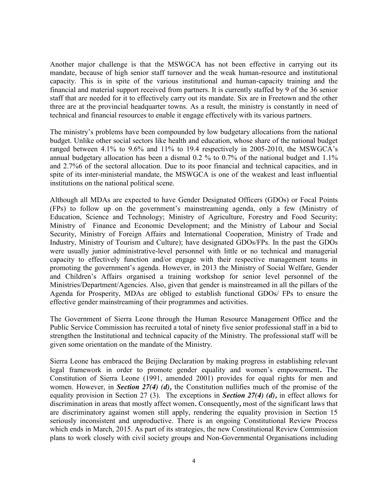Another major challenge is that the MSWGCA has not been effective in carrying out its mandate, because of high senior staff turnover and the weak human-resource and institutional capacity. This is in spite of the various institutional and human-capacity training and the financial and material support received from partners. It is currently staffed by 9 of the 36 senior staff that are needed for it to effectively carry out its mandate. Six are in Freetown and the other three are at the provincial headquarter towns. As a result, the ministry is constantly in need of technical and financial resources to enable it engage effectively with its various partners.

The ministry's problems have been compounded by low budgetary allocations from the national budget. Unlike other social sectors like health and education, whose share of the national budget ranged between 4.1% to 9.6% and 11% to 19.4 respectively in 2005-2010, the MSWGCA's annual budgetary allocation has been a dismal  $0.2\%$  to  $0.7\%$  of the national budget and  $1.1\%$ and 2.7%6 of the sectoral allocation. Due to its poor financial and technical capacities, and in spite of its inter-ministerial mandate, the MSWGCA is one of the weakest and least influential institutions on the national political scene.

Although all MDAs are expected to have Gender Designated Officers (GDOs) or Focal Points (FPs) to follow up on the government's mainstreaming agenda, only a few (Ministry of Education, Science and Technology; Ministry of Agriculture, Forestry and Food Security; Ministry of Finance and Economic Development; and the Ministry of Labour and Social Security, Ministry of Foreign Affairs and International Cooperation, Ministry of Trade and Industry, Ministry of Tourism and Culture); have designated GDOs/FPs. In the past the GDOs were usually junior administrative-level personnel with little or no technical and managerial capacity to effectively function and/or engage with their respective management teams in promoting the government's agenda. However, in 2013 the Ministry of Social Welfare, Gender and Children's Affairs organised a training workshop for senior level personnel of the Ministries/Department/Agencies. Also, given that gender is mainstreamed in all the pillars of the Agenda for Prosperity, MDAs are obliged to establish functional GDOs/ FPs to ensure the effective gender mainstreaming of their programmes and activities.

The Government of Sierra Leone through the Human Resource Management Office and the Public Service Commission has recruited a total of ninety five senior professional staff in a bid to strengthen the Institutional and technical capacity of the Ministry. The professional staff will be given some orientation on the mandate of the Ministry.

Sierra Leone has embraced the Beijing Declaration by making progress in establishing relevant legal framework in order to promote gender equality and women's empowerment**.** The Constitution of Sierra Leone (1991, amended 2001) provides for equal rights for men and women. However, in *Section 27(4) (d),* the Constitution nullifies much of the promise of the equality provision in Section 27 (3). The exceptions in *Section 27(4) (d),* in effect allows for discrimination in areas that mostly affect women*.* Consequently*,* most of the significant laws that are discriminatory against women still apply, rendering the equality provision in Section 15 seriously inconsistent and unproductive. There is an ongoing Constitutional Review Process which ends in March, 2015. As part of its strategies, the new Constitutional Review Commission plans to work closely with civil society groups and Non-Governmental Organisations including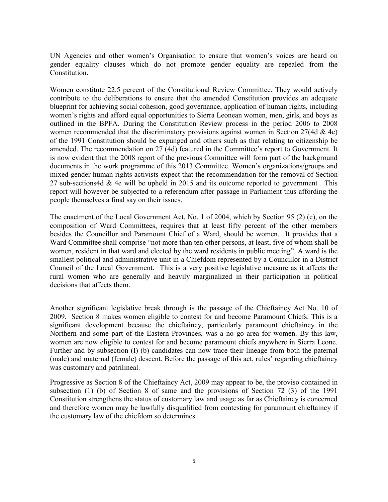UN Agencies and other women's Organisation to ensure that women's voices are heard on gender equality clauses which do not promote gender equality are repealed from the Constitution.

Women constitute 22.5 percent of the Constitutional Review Committee. They would actively contribute to the deliberations to ensure that the amended Constitution provides an adequate blueprint for achieving social cohesion, good governance, application of human rights, including women's rights and afford equal opportunities to Sierra Leonean women, men, girls, and boys as outlined in the BPFA. During the Constitution Review process in the period 2006 to 2008 women recommended that the discriminatory provisions against women in Section 27(4d & 4e) of the 1991 Constitution should be expunged and others such as that relating to citizenship be amended. The recommendation on 27 (4d) featured in the Committee's report to Government. It is now evident that the 2008 report of the previous Committee will form part of the background documents in the work programme of this 2013 Committee. Women's organizations/groups and mixed gender human rights activists expect that the recommendation for the removal of Section 27 sub-sections4d & 4e will be upheld in 2015 and its outcome reported to government . This report will however be subjected to a referendum after passage in Parliament thus affording the people themselves a final say on their issues.

The enactment of the Local Government Act, No. 1 of 2004, which by Section 95 (2) (c), on the composition of Ward Committees, requires that at least fifty percent of the other members besides the Councillor and Paramount Chief of a Ward, should be women. It provides that a Ward Committee shall comprise "not more than ten other persons, at least, five of whom shall be women, resident in that ward and elected by the ward residents in public meeting". A ward is the smallest political and administrative unit in a Chiefdom represented by a Councillor in a District Council of the Local Government. This is a very positive legislative measure as it affects the rural women who are generally and heavily marginalized in their participation in political decisions that affects them.

Another significant legislative break through is the passage of the Chieftaincy Act No. 10 of 2009. Section 8 makes women eligible to contest for and become Paramount Chiefs. This is a significant development because the chieftaincy, particularly paramount chieftaincy in the Northern and some part of the Eastern Provinces, was a no go area for women. By this law, women are now eligible to contest for and become paramount chiefs anywhere in Sierra Leone. Further and by subsection (I) (b) candidates can now trace their lineage from both the paternal (male) and maternal (female) descent. Before the passage of this act, rules' regarding chieftaincy was customary and patrilineal.

Progressive as Section 8 of the Chieftaincy Act, 2009 may appear to be, the proviso contained in subsection (1) (b) of Section 8 of same and the provisions of Section 72 (3) of the 1991 Constitution strengthens the status of customary law and usage as far as Chieftaincy is concerned and therefore women may be lawfully disqualified from contesting for paramount chieftaincy if the customary law of the chiefdom so determines.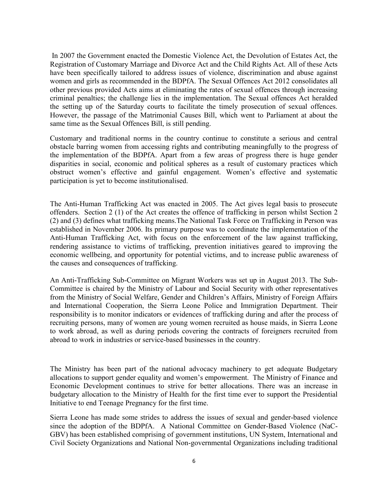In 2007 the Government enacted the Domestic Violence Act, the Devolution of Estates Act, the Registration of Customary Marriage and Divorce Act and the Child Rights Act. All of these Acts have been specifically tailored to address issues of violence, discrimination and abuse against women and girls as recommended in the BDPfA. The Sexual Offences Act 2012 consolidates all other previous provided Acts aims at eliminating the rates of sexual offences through increasing criminal penalties; the challenge lies in the implementation. The Sexual offences Act heralded the setting up of the Saturday courts to facilitate the timely prosecution of sexual offences. However, the passage of the Matrimonial Causes Bill, which went to Parliament at about the same time as the Sexual Offences Bill, is still pending.

Customary and traditional norms in the country continue to constitute a serious and central obstacle barring women from accessing rights and contributing meaningfully to the progress of the implementation of the BDPfA. Apart from a few areas of progress there is huge gender disparities in social, economic and political spheres as a result of customary practices which obstruct women's effective and gainful engagement. Women's effective and systematic participation is yet to become institutionalised.

The Anti-Human Trafficking Act was enacted in 2005. The Act gives legal basis to prosecute offenders. Section 2 (1) of the Act creates the offence of trafficking in person whilst Section 2 (2) and (3) defines what trafficking means.The National Task Force on Trafficking in Person was established in November 2006. Its primary purpose was to coordinate the implementation of the Anti-Human Trafficking Act, with focus on the enforcement of the law against trafficking, rendering assistance to victims of trafficking, prevention initiatives geared to improving the economic wellbeing, and opportunity for potential victims, and to increase public awareness of the causes and consequences of trafficking.

An Anti-Trafficking Sub-Committee on Migrant Workers was set up in August 2013. The Sub-Committee is chaired by the Ministry of Labour and Social Security with other representatives from the Ministry of Social Welfare, Gender and Children's Affairs, Ministry of Foreign Affairs and International Cooperation, the Sierra Leone Police and Immigration Department. Their responsibility is to monitor indicators or evidences of trafficking during and after the process of recruiting persons, many of women are young women recruited as house maids, in Sierra Leone to work abroad, as well as during periods covering the contracts of foreigners recruited from abroad to work in industries or service-based businesses in the country.

The Ministry has been part of the national advocacy machinery to get adequate Budgetary allocations to support gender equality and women's empowerment. The Ministry of Finance and Economic Development continues to strive for better allocations. There was an increase in budgetary allocation to the Ministry of Health for the first time ever to support the Presidential Initiative to end Teenage Pregnancy for the first time.

Sierra Leone has made some strides to address the issues of sexual and gender-based violence since the adoption of the BDPfA. A National Committee on Gender-Based Violence (NaC-GBV) has been established comprising of government institutions, UN System, International and Civil Society Organizations and National Non-governmental Organizations including traditional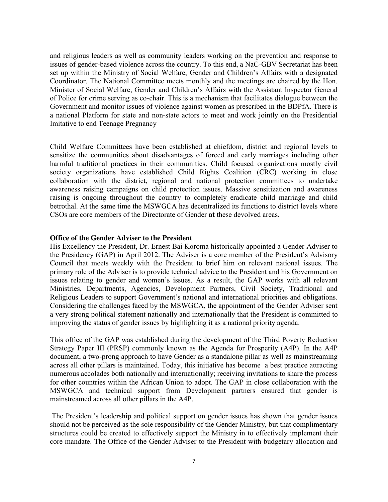and religious leaders as well as community leaders working on the prevention and response to issues of gender-based violence across the country. To this end, a NaC-GBV Secretariat has been set up within the Ministry of Social Welfare, Gender and Children's Affairs with a designated Coordinator. The National Committee meets monthly and the meetings are chaired by the Hon. Minister of Social Welfare, Gender and Children's Affairs with the Assistant Inspector General of Police for crime serving as co-chair. This is a mechanism that facilitates dialogue between the Government and monitor issues of violence against women as prescribed in the BDPfA. There is a national Platform for state and non-state actors to meet and work jointly on the Presidential Imitative to end Teenage Pregnancy

Child Welfare Committees have been established at chiefdom, district and regional levels to sensitize the communities about disadvantages of forced and early marriages including other harmful traditional practices in their communities. Child focused organizations mostly civil society organizations have established Child Rights Coalition (CRC) working in close collaboration with the district, regional and national protection committees to undertake awareness raising campaigns on child protection issues. Massive sensitization and awareness raising is ongoing throughout the country to completely eradicate child marriage and child betrothal. At the same time the MSWGCA has decentralized its functions to district levels where CSOs are core members of the Directorate of Gender **at** these devolved areas.

#### **Office of the Gender Adviser to the President**

His Excellency the President, Dr. Ernest Bai Koroma historically appointed a Gender Adviser to the Presidency (GAP) in April 2012. The Adviser is a core member of the President's Advisory Council that meets weekly with the President to brief him on relevant national issues. The primary role of the Adviser is to provide technical advice to the President and his Government on issues relating to gender and women's issues. As a result, the GAP works with all relevant Ministries, Departments, Agencies, Development Partners, Civil Society, Traditional and Religious Leaders to support Government's national and international priorities and obligations. Considering the challenges faced by the MSWGCA, the appointment of the Gender Adviser sent a very strong political statement nationally and internationally that the President is committed to improving the status of gender issues by highlighting it as a national priority agenda.

This office of the GAP was established during the development of the Third Poverty Reduction Strategy Paper III (PRSP) commonly known as the Agenda for Prosperity (A4P). In the A4P document, a two-prong approach to have Gender as a standalone pillar as well as mainstreaming across all other pillars is maintained. Today, this initiative has become a best practice attracting numerous accolades both nationally and internationally; receiving invitations to share the process for other countries within the African Union to adopt. The GAP in close collaboration with the MSWGCA and technical support from Development partners ensured that gender is mainstreamed across all other pillars in the A4P.

The President's leadership and political support on gender issues has shown that gender issues should not be perceived as the sole responsibility of the Gender Ministry, but that complimentary structures could be created to effectively support the Ministry in to effectively implement their core mandate. The Office of the Gender Adviser to the President with budgetary allocation and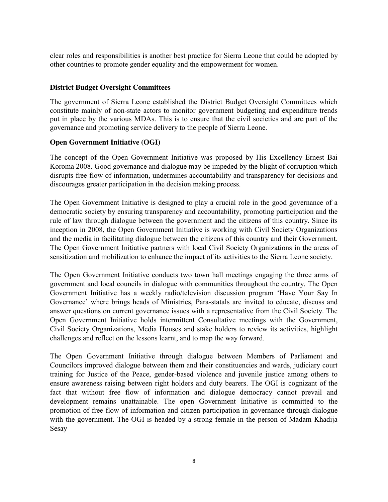clear roles and responsibilities is another best practice for Sierra Leone that could be adopted by other countries to promote gender equality and the empowerment for women.

## **District Budget Oversight Committees**

The government of Sierra Leone established the District Budget Oversight Committees which constitute mainly of non-state actors to monitor government budgeting and expenditure trends put in place by the various MDAs. This is to ensure that the civil societies and are part of the governance and promoting service delivery to the people of Sierra Leone.

#### **Open Government Initiative (OGI)**

The concept of the Open Government Initiative was proposed by His Excellency Ernest Bai Koroma 2008. Good governance and dialogue may be impeded by the blight of corruption which disrupts free flow of information, undermines accountability and transparency for decisions and discourages greater participation in the decision making process.

The Open Government Initiative is designed to play a crucial role in the good governance of a democratic society by ensuring transparency and accountability, promoting participation and the rule of law through dialogue between the government and the citizens of this country. Since its inception in 2008, the Open Government Initiative is working with Civil Society Organizations and the media in facilitating dialogue between the citizens of this country and their Government. The Open Government Initiative partners with local Civil Society Organizations in the areas of sensitization and mobilization to enhance the impact of its activities to the Sierra Leone society.

The Open Government Initiative conducts two town hall meetings engaging the three arms of government and local councils in dialogue with communities throughout the country. The Open Government Initiative has a weekly radio/television discussion program 'Have Your Say In Governance' where brings heads of Ministries, Para-statals are invited to educate, discuss and answer questions on current governance issues with a representative from the Civil Society. The Open Government Initiative holds intermittent Consultative meetings with the Government, Civil Society Organizations, Media Houses and stake holders to review its activities, highlight challenges and reflect on the lessons learnt, and to map the way forward.

The Open Government Initiative through dialogue between Members of Parliament and Councilors improved dialogue between them and their constituencies and wards, judiciary court training for Justice of the Peace, gender-based violence and juvenile justice among others to ensure awareness raising between right holders and duty bearers. The OGI is cognizant of the fact that without free flow of information and dialogue democracy cannot prevail and development remains unattainable. The open Government Initiative is committed to the promotion of free flow of information and citizen participation in governance through dialogue with the government. The OGI is headed by a strong female in the person of Madam Khadija Sesay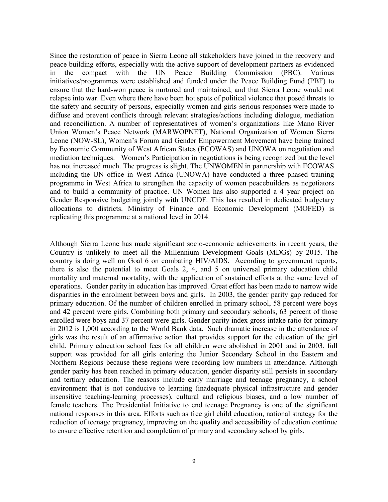Since the restoration of peace in Sierra Leone all stakeholders have joined in the recovery and peace building efforts, especially with the active support of development partners as evidenced in the compact with the UN Peace Building Commission (PBC). Various initiatives/programmes were established and funded under the Peace Building Fund (PBF) to ensure that the hard-won peace is nurtured and maintained, and that Sierra Leone would not relapse into war. Even where there have been hot spots of political violence that posed threats to the safety and security of persons, especially women and girls serious responses were made to diffuse and prevent conflicts through relevant strategies/actions including dialogue, mediation and reconciliation. A number of representatives of women's organizations like Mano River Union Women's Peace Network (MARWOPNET), National Organization of Women Sierra Leone (NOW-SL), Women's Forum and Gender Empowerment Movement have being trained by Economic Community of West African States (ECOWAS) and UNOWA on negotiation and mediation techniques. Women's Participation in negotiations is being recognized but the level has not increased much. The progress is slight. The UNWOMEN in partnership with ECOWAS including the UN office in West Africa (UNOWA) have conducted a three phased training programme in West Africa to strengthen the capacity of women peacebuilders as negotiators and to build a community of practice. UN Women has also supported a 4 year project on Gender Responsive budgeting jointly with UNCDF. This has resulted in dedicated budgetary allocations to districts. Ministry of Finance and Economic Development (MOFED) is replicating this programme at a national level in 2014.

Although Sierra Leone has made significant socio-economic achievements in recent years, the Country is unlikely to meet all the Millennium Development Goals (MDGs) by 2015. The country is doing well on Goal 6 on combating HIV/AIDS. According to government reports, there is also the potential to meet Goals 2, 4, and 5 on universal primary education child mortality and maternal mortality, with the application of sustained efforts at the same level of operations. Gender parity in education has improved. Great effort has been made to narrow wide disparities in the enrolment between boys and girls. In 2003, the gender parity gap reduced for primary education. Of the number of children enrolled in primary school, 58 percent were boys and 42 percent were girls. Combining both primary and secondary schools, 63 percent of those enrolled were boys and 37 percent were girls. Gender parity index gross intake ratio for primary in 2012 is 1,000 according to the World Bank data. Such dramatic increase in the attendance of girls was the result of an affirmative action that provides support for the education of the girl child. Primary education school fees for all children were abolished in 2001 and in 2003, full support was provided for all girls entering the Junior Secondary School in the Eastern and Northern Regions because these regions were recording low numbers in attendance. Although gender parity has been reached in primary education, gender disparity still persists in secondary and tertiary education. The reasons include early marriage and teenage pregnancy, a school environment that is not conducive to learning (inadequate physical infrastructure and gender insensitive teaching-learning processes), cultural and religious biases, and a low number of female teachers. The Presidential Initiative to end teenage Pregnancy is one of the significant national responses in this area. Efforts such as free girl child education, national strategy for the reduction of teenage pregnancy, improving on the quality and accessibility of education continue to ensure effective retention and completion of primary and secondary school by girls.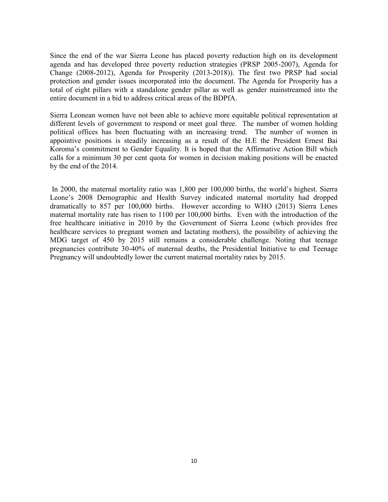Since the end of the war Sierra Leone has placed poverty reduction high on its development agenda and has developed three poverty reduction strategies (PRSP 2005-2007), Agenda for Change (2008-2012), Agenda for Prosperity (2013-2018)). The first two PRSP had social protection and gender issues incorporated into the document. The Agenda for Prosperity has a total of eight pillars with a standalone gender pillar as well as gender mainstreamed into the entire document in a bid to address critical areas of the BDPfA.

Sierra Leonean women have not been able to achieve more equitable political representation at different levels of government to respond or meet goal three. The number of women holding political offices has been fluctuating with an increasing trend. The number of women in appointive positions is steadily increasing as a result of the H.E the President Ernest Bai Koroma's commitment to Gender Equality. It is hoped that the Affirmative Action Bill which calls for a minimum 30 per cent quota for women in decision making positions will be enacted by the end of the 2014.

In 2000, the maternal mortality ratio was 1,800 per 100,000 births, the world's highest. Sierra Leone's 2008 Demographic and Health Survey indicated maternal mortality had dropped dramatically to 857 per 100,000 births. However according to WHO (2013) Sierra Lenes maternal mortality rate has risen to 1100 per 100,000 births. Even with the introduction of the free healthcare initiative in 2010 by the Government of Sierra Leone (which provides free healthcare services to pregnant women and lactating mothers), the possibility of achieving the MDG target of 450 by 2015 still remains a considerable challenge. Noting that teenage pregnancies contribute 30-40% of maternal deaths, the Presidential Initiative to end Teenage Pregnancy will undoubtedly lower the current maternal mortality rates by 2015.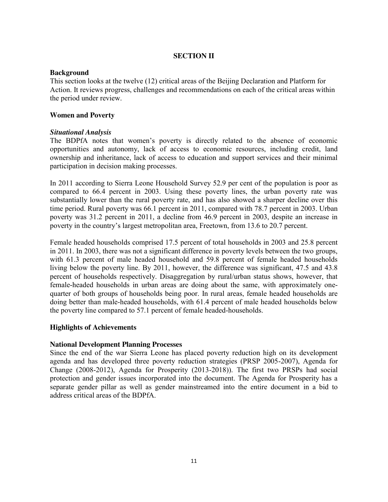## **SECTION II**

#### **Background**

This section looks at the twelve (12) critical areas of the Beijing Declaration and Platform for Action. It reviews progress, challenges and recommendations on each of the critical areas within the period under review.

## **Women and Poverty**

## *Situational Analysis*

The BDPfA notes that women's poverty is directly related to the absence of economic opportunities and autonomy, lack of access to economic resources, including credit, land ownership and inheritance, lack of access to education and support services and their minimal participation in decision making processes.

In 2011 according to Sierra Leone Household Survey 52.9 per cent of the population is poor as compared to 66.4 percent in 2003. Using these poverty lines, the urban poverty rate was substantially lower than the rural poverty rate, and has also showed a sharper decline over this time period. Rural poverty was 66.1 percent in 2011, compared with 78.7 percent in 2003. Urban poverty was 31.2 percent in 2011, a decline from 46.9 percent in 2003, despite an increase in poverty in the country's largest metropolitan area, Freetown, from 13.6 to 20.7 percent.

Female headed households comprised 17.5 percent of total households in 2003 and 25.8 percent in 2011. In 2003, there was not a significant difference in poverty levels between the two groups, with 61.3 percent of male headed household and 59.8 percent of female headed households living below the poverty line. By 2011, however, the difference was significant, 47.5 and 43.8 percent of households respectively. Disaggregation by rural/urban status shows, however, that female-headed households in urban areas are doing about the same, with approximately onequarter of both groups of households being poor. In rural areas, female headed households are doing better than male-headed households, with 61.4 percent of male headed households below the poverty line compared to 57.1 percent of female headed-households.

## **Highlights of Achievements**

## **National Development Planning Processes**

Since the end of the war Sierra Leone has placed poverty reduction high on its development agenda and has developed three poverty reduction strategies (PRSP 2005-2007), Agenda for Change (2008-2012), Agenda for Prosperity (2013-2018)). The first two PRSPs had social protection and gender issues incorporated into the document. The Agenda for Prosperity has a separate gender pillar as well as gender mainstreamed into the entire document in a bid to address critical areas of the BDPfA.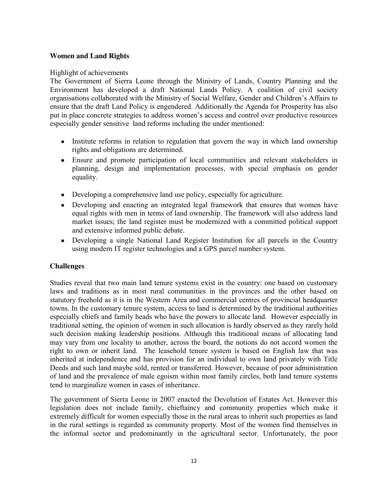## **Women and Land Rights**

#### Highlight of achievements

The Government of Sierra Leone through the Ministry of Lands, Country Planning and the Environment has developed a draft National Lands Policy. A coalition of civil society organisations collaborated with the Ministry of Social Welfare, Gender and Children's Affairs to ensure that the draft Land Policy is engendered. Additionally the Agenda for Prosperity has also put in place concrete strategies to address women's access and control over productive resources especially gender sensitive land reforms including the under mentioned:

- Institute reforms in relation to regulation that govern the way in which land ownership rights and obligations are determined.
- Ensure and promote participation of local communities and relevant stakeholders in  $\bullet$ planning, design and implementation processes, with special emphasis on gender equality.
- Developing a comprehensive land use policy, especially for agriculture.
- $\bullet$ Developing and enacting an integrated legal framework that ensures that women have equal rights with men in terms of land ownership. The framework will also address land market issues; the land register must be modernized with a committed political support and extensive informed public debate.
- Developing a single National Land Register Institution for all parcels in the Country using modern IT register technologies and a GPS parcel number system.

## **Challenges**

Studies reveal that two main land tenure systems exist in the country: one based on customary laws and traditions as in most rural communities in the provinces and the other based on statutory freehold as it is in the Western Area and commercial centres of provincial headquarter towns. In the customary tenure system, access to land is determined by the traditional authorities especially chiefs and family heads who have the powers to allocate land. However especially in traditional setting, the opinion of women in such allocation is hardly observed as they rarely hold such decision making leadership positions. Although this traditional means of allocating land may vary from one locality to another, across the board, the notions do not accord women the right to own or inherit land. The leasehold tenure system is based on English law that was inherited at independence and has provision for an individual to own land privately with Title Deeds and such land maybe sold, rented or transferred. However, because of poor administration of land and the prevalence of male egoism within most family circles, both land tenure systems tend to marginalize women in cases of inheritance.

The government of Sierra Leone in 2007 enacted the Devolution of Estates Act. However this legislation does not include family, chieftaincy and community properties which make it extremely difficult for women especially those in the rural areas to inherit such properties as land in the rural settings is regarded as community property. Most of the women find themselves in the informal sector and predominantly in the agricultural sector. Unfortunately, the poor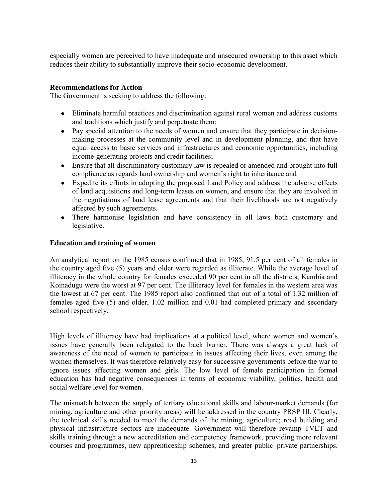especially women are perceived to have inadequate and unsecured ownership to this asset which reduces their ability to substantially improve their socio-economic development.

#### **Recommendations for Action**

The Government is seeking to address the following:

- Eliminate harmful practices and discrimination against rural women and address customs and traditions which justify and perpetuate them;
- Pay special attention to the needs of women and ensure that they participate in decisionmaking processes at the community level and in development planning, and that have equal access to basic services and infrastructures and economic opportunities, including income-generating projects and credit facilities;
- Ensure that all discriminatory customary law is repealed or amended and brought into full  $\bullet$ compliance as regards land ownership and women's right to inheritance and
- Expedite its efforts in adopting the proposed Land Policy and address the adverse effects  $\bullet$ of land acquisitions and long-term leases on women, and ensure that they are involved in the negotiations of land lease agreements and that their livelihoods are not negatively affected by such agreements.
- There harmonise legislation and have consistency in all laws both customary and legislative.

#### **Education and training of women**

An analytical report on the 1985 census confirmed that in 1985, 91.5 per cent of all females in the country aged five (5) years and older were regarded as illiterate. While the average level of illiteracy in the whole country for females exceeded 90 per cent in all the districts, Kambia and Koinadugu were the worst at 97 per cent. The illiteracy level for females in the western area was the lowest at 67 per cent. The 1985 report also confirmed that out of a total of 1.32 million of females aged five (5) and older, 1.02 million and 0.01 had completed primary and secondary school respectively.

High levels of illiteracy have had implications at a political level, where women and women's issues have generally been relegated to the back burner. There was always a great lack of awareness of the need of women to participate in issues affecting their lives, even among the women themselves. It was therefore relatively easy for successive governments before the war to ignore issues affecting women and girls. The low level of female participation in formal education has had negative consequences in terms of economic viability, politics, health and social welfare level for women.

The mismatch between the supply of tertiary educational skills and labour-market demands (for mining, agriculture and other priority areas) will be addressed in the country PRSP III. Clearly, the technical skills needed to meet the demands of the mining, agriculture; road building and physical infrastructure sectors are inadequate. Government will therefore revamp TVET and skills training through a new accreditation and competency framework, providing more relevant courses and programmes, new apprenticeship schemes, and greater public–private partnerships.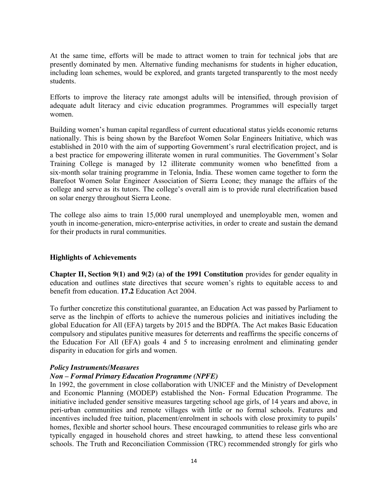At the same time, efforts will be made to attract women to train for technical jobs that are presently dominated by men. Alternative funding mechanisms for students in higher education, including loan schemes, would be explored, and grants targeted transparently to the most needy students.

Efforts to improve the literacy rate amongst adults will be intensified, through provision of adequate adult literacy and civic education programmes. Programmes will especially target women.

Building women's human capital regardless of current educational status yields economic returns nationally. This is being shown by the Barefoot Women Solar Engineers Initiative, which was established in 2010 with the aim of supporting Government's rural electrification project, and is a best practice for empowering illiterate women in rural communities. The Government's Solar Training College is managed by 12 illiterate community women who benefitted from a six-month solar training programme in Telonia, India. These women came together to form the Barefoot Women Solar Engineer Association of Sierra Leone; they manage the affairs of the college and serve as its tutors. The college's overall aim is to provide rural electrification based on solar energy throughout Sierra Leone.

The college also aims to train 15,000 rural unemployed and unemployable men, women and youth in income-generation, micro-enterprise activities, in order to create and sustain the demand for their products in rural communities.

#### **Highlights of Achievements**

**Chapter II, Section 9(1) and 9(2) (a) of the 1991 Constitution** provides for gender equality in education and outlines state directives that secure women's rights to equitable access to and benefit from education. **17.2** Education Act 2004.

To further concretize this constitutional guarantee, an Education Act was passed by Parliament to serve as the linchpin of efforts to achieve the numerous policies and initiatives including the global Education for All (EFA) targets by 2015 and the BDPfA. The Act makes Basic Education compulsory and stipulates punitive measures for deterrents and reaffirms the specific concerns of the Education For All (EFA) goals 4 and 5 to increasing enrolment and eliminating gender disparity in education for girls and women.

#### *Policy Instruments/Measures*

#### *Non – Formal Primary Education Programme (NPFE)*

In 1992, the government in close collaboration with UNICEF and the Ministry of Development and Economic Planning (MODEP) established the Non- Formal Education Programme. The initiative included gender sensitive measures targeting school age girls, of 14 years and above, in peri-urban communities and remote villages with little or no formal schools. Features and incentives included free tuition, placement/enrolment in schools with close proximity to pupils' homes, flexible and shorter school hours. These encouraged communities to release girls who are typically engaged in household chores and street hawking, to attend these less conventional schools. The Truth and Reconciliation Commission (TRC) recommended strongly for girls who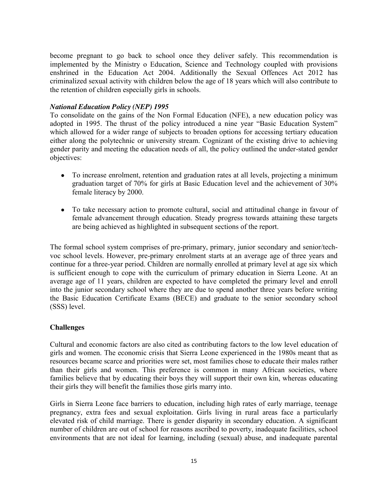become pregnant to go back to school once they deliver safely. This recommendation is implemented by the Ministry o Education, Science and Technology coupled with provisions enshrined in the Education Act 2004. Additionally the Sexual Offences Act 2012 has criminalized sexual activity with children below the age of 18 years which will also contribute to the retention of children especially girls in schools.

#### *National Education Policy (NEP) 1995*

To consolidate on the gains of the Non Formal Education (NFE), a new education policy was adopted in 1995. The thrust of the policy introduced a nine year "Basic Education System" which allowed for a wider range of subjects to broaden options for accessing tertiary education either along the polytechnic or university stream. Cognizant of the existing drive to achieving gender parity and meeting the education needs of all, the policy outlined the under-stated gender objectives:

- To increase enrolment, retention and graduation rates at all levels, projecting a minimum graduation target of 70% for girls at Basic Education level and the achievement of 30% female literacy by 2000.
- To take necessary action to promote cultural, social and attitudinal change in favour of female advancement through education. Steady progress towards attaining these targets are being achieved as highlighted in subsequent sections of the report.

The formal school system comprises of pre-primary, primary, junior secondary and senior/techvoc school levels. However, pre-primary enrolment starts at an average age of three years and continue for a three-year period. Children are normally enrolled at primary level at age six which is sufficient enough to cope with the curriculum of primary education in Sierra Leone. At an average age of 11 years, children are expected to have completed the primary level and enroll into the junior secondary school where they are due to spend another three years before writing the Basic Education Certificate Exams (BECE) and graduate to the senior secondary school (SSS) level.

#### **Challenges**

Cultural and economic factors are also cited as contributing factors to the low level education of girls and women. The economic crisis that Sierra Leone experienced in the 1980s meant that as resources became scarce and priorities were set, most families chose to educate their males rather than their girls and women. This preference is common in many African societies, where families believe that by educating their boys they will support their own kin, whereas educating their girls they will benefit the families those girls marry into.

Girls in Sierra Leone face barriers to education, including high rates of early marriage, teenage pregnancy, extra fees and sexual exploitation. Girls living in rural areas face a particularly elevated risk of child marriage. There is gender disparity in secondary education. A significant number of children are out of school for reasons ascribed to poverty, inadequate facilities, school environments that are not ideal for learning, including (sexual) abuse, and inadequate parental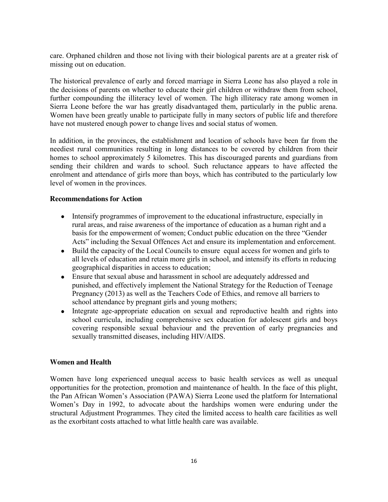care. Orphaned children and those not living with their biological parents are at a greater risk of missing out on education.

The historical prevalence of early and forced marriage in Sierra Leone has also played a role in the decisions of parents on whether to educate their girl children or withdraw them from school, further compounding the illiteracy level of women. The high illiteracy rate among women in Sierra Leone before the war has greatly disadvantaged them, particularly in the public arena. Women have been greatly unable to participate fully in many sectors of public life and therefore have not mustered enough power to change lives and social status of women.

In addition, in the provinces, the establishment and location of schools have been far from the neediest rural communities resulting in long distances to be covered by children from their homes to school approximately 5 kilometres. This has discouraged parents and guardians from sending their children and wards to school. Such reluctance appears to have affected the enrolment and attendance of girls more than boys, which has contributed to the particularly low level of women in the provinces.

#### **Recommendations for Action**

- Intensify programmes of improvement to the educational infrastructure, especially in rural areas, and raise awareness of the importance of education as a human right and a basis for the empowerment of women; Conduct public education on the three "Gender Acts" including the Sexual Offences Act and ensure its implementation and enforcement.
- Build the capacity of the Local Councils to ensure equal access for women and girls to all levels of education and retain more girls in school, and intensify its efforts in reducing geographical disparities in access to education;
- Ensure that sexual abuse and harassment in school are adequately addressed and punished, and effectively implement the National Strategy for the Reduction of Teenage Pregnancy (2013) as well as the Teachers Code of Ethics, and remove all barriers to school attendance by pregnant girls and young mothers;
- Integrate age-appropriate education on sexual and reproductive health and rights into  $\bullet$ school curricula, including comprehensive sex education for adolescent girls and boys covering responsible sexual behaviour and the prevention of early pregnancies and sexually transmitted diseases, including HIV/AIDS.

#### **Women and Health**

Women have long experienced unequal access to basic health services as well as unequal opportunities for the protection, promotion and maintenance of health. In the face of this plight, the Pan African Women's Association (PAWA) Sierra Leone used the platform for International Women's Day in 1992, to advocate about the hardships women were enduring under the structural Adjustment Programmes. They cited the limited access to health care facilities as well as the exorbitant costs attached to what little health care was available.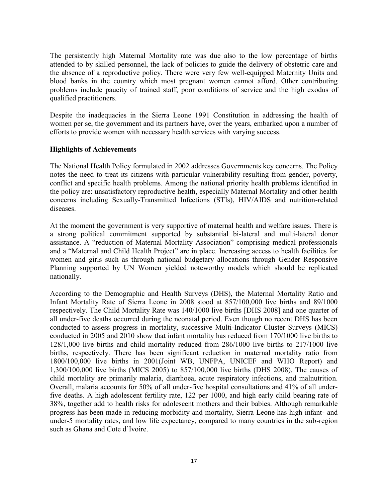The persistently high Maternal Mortality rate was due also to the low percentage of births attended to by skilled personnel, the lack of policies to guide the delivery of obstetric care and the absence of a reproductive policy. There were very few well-equipped Maternity Units and blood banks in the country which most pregnant women cannot afford. Other contributing problems include paucity of trained staff, poor conditions of service and the high exodus of qualified practitioners.

Despite the inadequacies in the Sierra Leone 1991 Constitution in addressing the health of women per se, the government and its partners have, over the years, embarked upon a number of efforts to provide women with necessary health services with varying success.

#### **Highlights of Achievements**

The National Health Policy formulated in 2002 addresses Governments key concerns. The Policy notes the need to treat its citizens with particular vulnerability resulting from gender, poverty, conflict and specific health problems. Among the national priority health problems identified in the policy are: unsatisfactory reproductive health, especially Maternal Mortality and other health concerns including Sexually-Transmitted Infections (STIs), HIV/AIDS and nutrition-related diseases.

At the moment the government is very supportive of maternal health and welfare issues. There is a strong political commitment supported by substantial bi-lateral and multi-lateral donor assistance. A "reduction of Maternal Mortality Association" comprising medical professionals and a "Maternal and Child Health Project" are in place. Increasing access to health facilities for women and girls such as through national budgetary allocations through Gender Responsive Planning supported by UN Women yielded noteworthy models which should be replicated nationally.

According to the Demographic and Health Surveys (DHS), the Maternal Mortality Ratio and Infant Mortality Rate of Sierra Leone in 2008 stood at 857/100,000 live births and 89/1000 respectively. The Child Mortality Rate was 140/1000 live births [DHS 2008] and one quarter of all under-five deaths occurred during the neonatal period. Even though no recent DHS has been conducted to assess progress in mortality, successive Multi-Indicator Cluster Surveys (MICS) conducted in 2005 and 2010 show that infant mortality has reduced from 170/1000 live births to 128/1,000 live births and child mortality reduced from 286/1000 live births to 217/1000 live births, respectively. There has been significant reduction in maternal mortality ratio from 1800/100,000 live births in 2001(Joint WB, UNFPA, UNICEF and WHO Report) and 1,300/100,000 live births (MICS 2005) to 857/100,000 live births (DHS 2008). The causes of child mortality are primarily malaria, diarrhoea, acute respiratory infections, and malnutrition. Overall, malaria accounts for 50% of all under-five hospital consultations and 41% of all underfive deaths. A high adolescent fertility rate, 122 per 1000, and high early child bearing rate of 38%, together add to health risks for adolescent mothers and their babies. Although remarkable progress has been made in reducing morbidity and mortality, Sierra Leone has high infant- and under-5 mortality rates, and low life expectancy, compared to many countries in the sub-region such as Ghana and Cote d'Ivoire.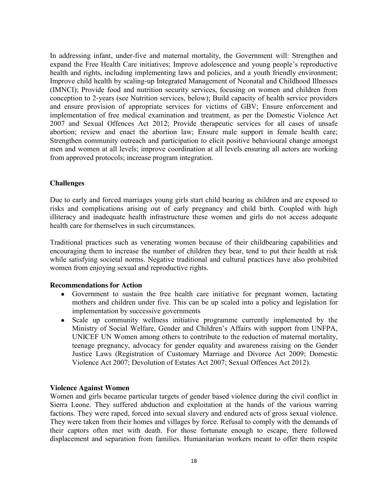In addressing infant, under-five and maternal mortality, the Government will: Strengthen and expand the Free Health Care initiatives; Improve adolescence and young people's reproductive health and rights, including implementing laws and policies, and a youth friendly environment; Improve child health by scaling-up Integrated Management of Neonatal and Childhood Illnesses (IMNCI); Provide food and nutrition security services, focusing on women and children from conception to 2-years (see Nutrition services, below); Build capacity of health service providers and ensure provision of appropriate services for victims of GBV; Ensure enforcement and implementation of free medical examination and treatment, as per the Domestic Violence Act 2007 and Sexual Offences Act 2012; Provide therapeutic services for all cases of unsafe abortion; review and enact the abortion law; Ensure male support in female health care; Strengthen community outreach and participation to elicit positive behavioural change amongst men and women at all levels; improve coordination at all levels ensuring all actors are working from approved protocols; increase program integration.

#### **Challenges**

Due to early and forced marriages young girls start child bearing as children and are exposed to risks and complications arising out of early pregnancy and child birth. Coupled with high illiteracy and inadequate health infrastructure these women and girls do not access adequate health care for themselves in such circumstances.

Traditional practices such as venerating women because of their childbearing capabilities and encouraging them to increase the number of children they bear, tend to put their health at risk while satisfying societal norms. Negative traditional and cultural practices have also prohibited women from enjoying sexual and reproductive rights.

#### **Recommendations for Action**

- Government to sustain the free health care initiative for pregnant women, lactating mothers and children under five. This can be up scaled into a policy and legislation for implementation by successive governments
- Scale up community wellness initiative programme currently implemented by the  $\bullet$ Ministry of Social Welfare, Gender and Children's Affairs with support from UNFPA, UNICEF UN Women among others to contribute to the reduction of maternal mortality, teenage pregnancy, advocacy for gender equality and awareness raising on the Gender Justice Laws (Registration of Customary Marriage and Divorce Act 2009; Domestic Violence Act 2007; Devolution of Estates Act 2007; Sexual Offences Act 2012).

#### **Violence Against Women**

Women and girls became particular targets of gender based violence during the civil conflict in Sierra Leone. They suffered abduction and exploitation at the hands of the various warring factions. They were raped, forced into sexual slavery and endured acts of gross sexual violence. They were taken from their homes and villages by force. Refusal to comply with the demands of their captors often met with death. For those fortunate enough to escape, there followed displacement and separation from families. Humanitarian workers meant to offer them respite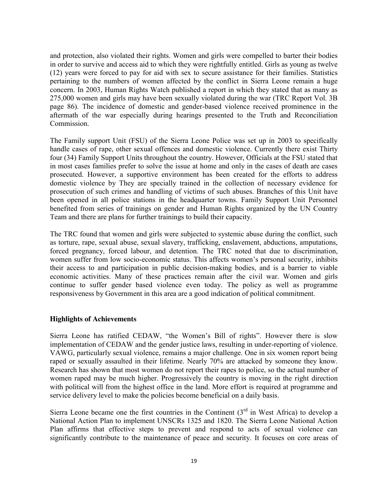and protection, also violated their rights. Women and girls were compelled to barter their bodies in order to survive and access aid to which they were rightfully entitled. Girls as young as twelve (12) years were forced to pay for aid with sex to secure assistance for their families. Statistics pertaining to the numbers of women affected by the conflict in Sierra Leone remain a huge concern. In 2003, Human Rights Watch published a report in which they stated that as many as 275,000 women and girls may have been sexually violated during the war (TRC Report Vol. 3B page 86). The incidence of domestic and gender-based violence received prominence in the aftermath of the war especially during hearings presented to the Truth and Reconciliation Commission.

The Family support Unit (FSU) of the Sierra Leone Police was set up in 2003 to specifically handle cases of rape, other sexual offences and domestic violence. Currently there exist Thirty four (34) Family Support Units throughout the country. However, Officials at the FSU stated that in most cases families prefer to solve the issue at home and only in the cases of death are cases prosecuted. However, a supportive environment has been created for the efforts to address domestic violence by They are specially trained in the collection of necessary evidence for prosecution of such crimes and handling of victims of such abuses. Branches of this Unit have been opened in all police stations in the headquarter towns. Family Support Unit Personnel benefited from series of trainings on gender and Human Rights organized by the UN Country Team and there are plans for further trainings to build their capacity.

The TRC found that women and girls were subjected to systemic abuse during the conflict, such as torture, rape, sexual abuse, sexual slavery, trafficking, enslavement, abductions, amputations, forced pregnancy, forced labour, and detention. The TRC noted that due to discrimination, women suffer from low socio-economic status. This affects women's personal security, inhibits their access to and participation in public decision-making bodies, and is a barrier to viable economic activities. Many of these practices remain after the civil war. Women and girls continue to suffer gender based violence even today. The policy as well as programme responsiveness by Government in this area are a good indication of political commitment.

#### **Highlights of Achievements**

Sierra Leone has ratified CEDAW, "the Women's Bill of rights". However there is slow implementation of CEDAW and the gender justice laws, resulting in under-reporting of violence. VAWG, particularly sexual violence, remains a major challenge. One in six women report being raped or sexually assaulted in their lifetime. Nearly 70% are attacked by someone they know. Research has shown that most women do not report their rapes to police, so the actual number of women raped may be much higher. Progressively the country is moving in the right direction with political will from the highest office in the land. More effort is required at programme and service delivery level to make the policies become beneficial on a daily basis.

Sierra Leone became one the first countries in the Continent  $3<sup>rd</sup>$  in West Africa) to develop a National Action Plan to implement UNSCRs 1325 and 1820. The Sierra Leone National Action Plan affirms that effective steps to prevent and respond to acts of sexual violence can significantly contribute to the maintenance of peace and security. It focuses on core areas of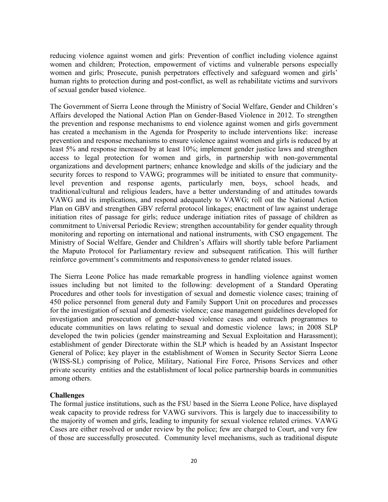reducing violence against women and girls: Prevention of conflict including violence against women and children; Protection, empowerment of victims and vulnerable persons especially women and girls; Prosecute, punish perpetrators effectively and safeguard women and girls' human rights to protection during and post-conflict, as well as rehabilitate victims and survivors of sexual gender based violence.

The Government of Sierra Leone through the Ministry of Social Welfare, Gender and Children's Affairs developed the National Action Plan on Gender-Based Violence in 2012. To strengthen the prevention and response mechanisms to end violence against women and girls government has created a mechanism in the Agenda for Prosperity to include interventions like: increase prevention and response mechanisms to ensure violence against women and girls is reduced by at least 5% and response increased by at least 10%; implement gender justice laws and strengthen access to legal protection for women and girls, in partnership with non-governmental organizations and development partners; enhance knowledge and skills of the judiciary and the security forces to respond to VAWG; programmes will be initiated to ensure that communitylevel prevention and response agents, particularly men, boys, school heads, and traditional/cultural and religious leaders, have a better understanding of and attitudes towards VAWG and its implications, and respond adequately to VAWG; roll out the National Action Plan on GBV and strengthen GBV referral protocol linkages; enactment of law against underage initiation rites of passage for girls; reduce underage initiation rites of passage of children as commitment to Universal Periodic Review; strengthen accountability for gender equality through monitoring and reporting on international and national instruments, with CSO engagement. The Ministry of Social Welfare, Gender and Children's Affairs will shortly table before Parliament the Maputo Protocol for Parliamentary review and subsequent ratification. This will further reinforce government's commitments and responsiveness to gender related issues.

The Sierra Leone Police has made remarkable progress in handling violence against women issues including but not limited to the following: development of a Standard Operating Procedures and other tools for investigation of sexual and domestic violence cases; training of 450 police personnel from general duty and Family Support Unit on procedures and processes for the investigation of sexual and domestic violence; case management guidelines developed for investigation and prosecution of gender-based violence cases and outreach programmes to educate communities on laws relating to sexual and domestic violence laws; in 2008 SLP developed the twin policies (gender mainstreaming and Sexual Exploitation and Harassment); establishment of gender Directorate within the SLP which is headed by an Assistant Inspector General of Police; key player in the establishment of Women in Security Sector Sierra Leone (WISS-SL) comprising of Police, Military, National Fire Force, Prisons Services and other private security entities and the establishment of local police partnership boards in communities among others.

#### **Challenges**

The formal justice institutions, such as the FSU based in the Sierra Leone Police, have displayed weak capacity to provide redress for VAWG survivors. This is largely due to inaccessibility to the majority of women and girls, leading to impunity for sexual violence related crimes. VAWG Cases are either resolved or under review by the police; few are charged to Court, and very few of those are successfully prosecuted. Community level mechanisms, such as traditional dispute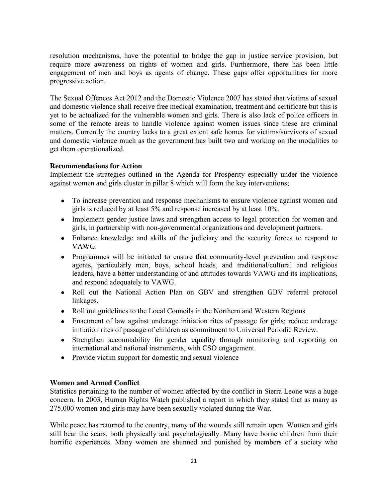resolution mechanisms, have the potential to bridge the gap in justice service provision, but require more awareness on rights of women and girls. Furthermore, there has been little engagement of men and boys as agents of change. These gaps offer opportunities for more progressive action.

The Sexual Offences Act 2012 and the Domestic Violence 2007 has stated that victims of sexual and domestic violence shall receive free medical examination, treatment and certificate but this is yet to be actualized for the vulnerable women and girls. There is also lack of police officers in some of the remote areas to handle violence against women issues since these are criminal matters. Currently the country lacks to a great extent safe homes for victims/survivors of sexual and domestic violence much as the government has built two and working on the modalities to get them operationalized.

#### **Recommendations for Action**

Implement the strategies outlined in the Agenda for Prosperity especially under the violence against women and girls cluster in pillar 8 which will form the key interventions;

- To increase prevention and response mechanisms to ensure violence against women and girls is reduced by at least 5% and response increased by at least 10%.
- $\bullet$ Implement gender justice laws and strengthen access to legal protection for women and girls, in partnership with non-governmental organizations and development partners.
- Enhance knowledge and skills of the judiciary and the security forces to respond to VAWG.
- Programmes will be initiated to ensure that community-level prevention and response agents, particularly men, boys, school heads, and traditional/cultural and religious leaders, have a better understanding of and attitudes towards VAWG and its implications, and respond adequately to VAWG.
- Roll out the National Action Plan on GBV and strengthen GBV referral protocol linkages.
- $\bullet$ Roll out guidelines to the Local Councils in the Northern and Western Regions
- Enactment of law against underage initiation rites of passage for girls; reduce underage  $\bullet$ initiation rites of passage of children as commitment to Universal Periodic Review.
- Strengthen accountability for gender equality through monitoring and reporting on  $\bullet$ international and national instruments, with CSO engagement.
- Provide victim support for domestic and sexual violence

#### **Women and Armed Conflict**

Statistics pertaining to the number of women affected by the conflict in Sierra Leone was a huge concern. In 2003, Human Rights Watch published a report in which they stated that as many as 275,000 women and girls may have been sexually violated during the War.

While peace has returned to the country, many of the wounds still remain open. Women and girls still bear the scars, both physically and psychologically. Many have borne children from their horrific experiences. Many women are shunned and punished by members of a society who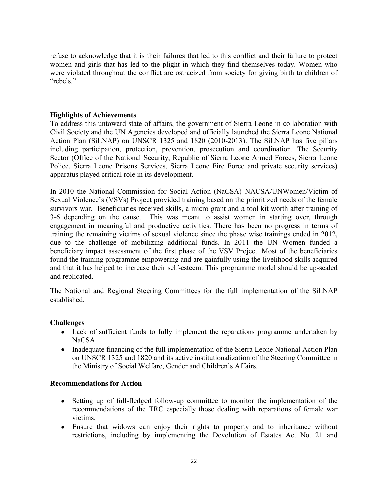refuse to acknowledge that it is their failures that led to this conflict and their failure to protect women and girls that has led to the plight in which they find themselves today. Women who were violated throughout the conflict are ostracized from society for giving birth to children of "rebels."

#### **Highlights of Achievements**

To address this untoward state of affairs, the government of Sierra Leone in collaboration with Civil Society and the UN Agencies developed and officially launched the Sierra Leone National Action Plan (SiLNAP) on UNSCR 1325 and 1820 (2010-2013). The SiLNAP has five pillars including participation, protection, prevention, prosecution and coordination. The Security Sector (Office of the National Security, Republic of Sierra Leone Armed Forces, Sierra Leone Police, Sierra Leone Prisons Services, Sierra Leone Fire Force and private security services) apparatus played critical role in its development.

In 2010 the National Commission for Social Action (NaCSA) NACSA/UNWomen/Victim of Sexual Violence's (VSVs) Project provided training based on the prioritized needs of the female survivors war. Beneficiaries received skills, a micro grant and a tool kit worth after training of 3-6 depending on the cause. This was meant to assist women in starting over, through engagement in meaningful and productive activities. There has been no progress in terms of training the remaining victims of sexual violence since the phase wise trainings ended in 2012, due to the challenge of mobilizing additional funds. In 2011 the UN Women funded a beneficiary impact assessment of the first phase of the VSV Project. Most of the beneficiaries found the training programme empowering and are gainfully using the livelihood skills acquired and that it has helped to increase their self-esteem. This programme model should be up-scaled and replicated.

The National and Regional Steering Committees for the full implementation of the SiLNAP established.

#### **Challenges**

- Lack of sufficient funds to fully implement the reparations programme undertaken by NaCSA
- Inadequate financing of the full implementation of the Sierra Leone National Action Plan  $\bullet$ on UNSCR 1325 and 1820 and its active institutionalization of the Steering Committee in the Ministry of Social Welfare, Gender and Children's Affairs.

#### **Recommendations for Action**

- Setting up of full-fledged follow-up committee to monitor the implementation of the  $\bullet$ recommendations of the TRC especially those dealing with reparations of female war victims.
- Ensure that widows can enjoy their rights to property and to inheritance without  $\bullet$ restrictions, including by implementing the Devolution of Estates Act No. 21 and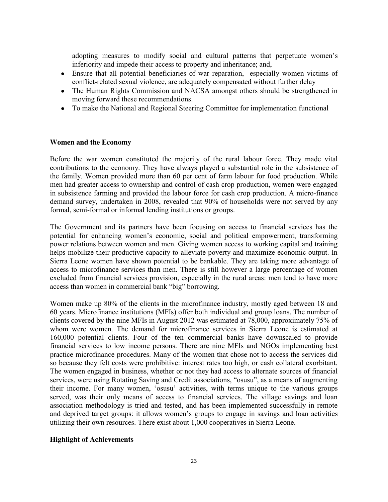adopting measures to modify social and cultural patterns that perpetuate women's inferiority and impede their access to property and inheritance; and,

- Ensure that all potential beneficiaries of war reparation, especially women victims of  $\bullet$ conflict-related sexual violence, are adequately compensated without further delay
- The Human Rights Commission and NACSA amongst others should be strengthened in moving forward these recommendations.
- To make the National and Regional Steering Committee for implementation functional

#### **Women and the Economy**

Before the war women constituted the majority of the rural labour force. They made vital contributions to the economy. They have always played a substantial role in the subsistence of the family. Women provided more than 60 per cent of farm labour for food production. While men had greater access to ownership and control of cash crop production, women were engaged in subsistence farming and provided the labour force for cash crop production. A micro-finance demand survey, undertaken in 2008, revealed that 90% of households were not served by any formal, semi-formal or informal lending institutions or groups.

The Government and its partners have been focusing on access to financial services has the potential for enhancing women's economic, social and political empowerment, transforming power relations between women and men. Giving women access to working capital and training helps mobilize their productive capacity to alleviate poverty and maximize economic output. In Sierra Leone women have shown potential to be bankable. They are taking more advantage of access to microfinance services than men. There is still however a large percentage of women excluded from financial services provision, especially in the rural areas: men tend to have more access than women in commercial bank "big" borrowing.

Women make up 80% of the clients in the microfinance industry, mostly aged between 18 and 60 years. Microfinance institutions (MFIs) offer both individual and group loans. The number of clients covered by the nine MFIs in August 2012 was estimated at 78,000, approximately 75% of whom were women. The demand for microfinance services in Sierra Leone is estimated at 160,000 potential clients. Four of the ten commercial banks have downscaled to provide financial services to low income persons. There are nine MFIs and NGOs implementing best practice microfinance procedures. Many of the women that chose not to access the services did so because they felt costs were prohibitive: interest rates too high, or cash collateral exorbitant. The women engaged in business, whether or not they had access to alternate sources of financial services, were using Rotating Saving and Credit associations, "osusu", as a means of augmenting their income. For many women, 'osusu' activities, with terms unique to the various groups served, was their only means of access to financial services. The village savings and loan association methodology is tried and tested, and has been implemented successfully in remote and deprived target groups: it allows women's groups to engage in savings and loan activities utilizing their own resources. There exist about 1,000 cooperatives in Sierra Leone.

#### **Highlight of Achievements**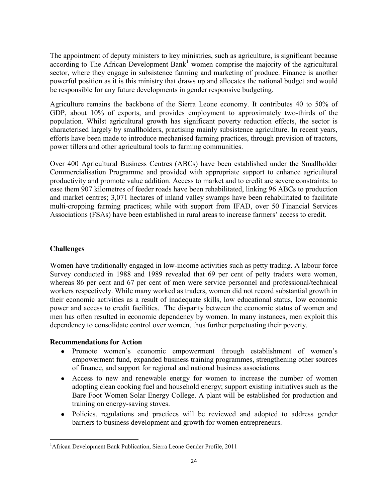The appointment of deputy ministers to key ministries, such as agriculture, is significant because according to The African Development Bank<sup>1</sup> women comprise the majority of the agricultural sector, where they engage in subsistence farming and marketing of produce. Finance is another powerful position as it is this ministry that draws up and allocates the national budget and would be responsible for any future developments in gender responsive budgeting.

Agriculture remains the backbone of the Sierra Leone economy. It contributes 40 to 50% of GDP, about 10% of exports, and provides employment to approximately two-thirds of the population. Whilst agricultural growth has significant poverty reduction effects, the sector is characterised largely by smallholders, practising mainly subsistence agriculture. In recent years, efforts have been made to introduce mechanised farming practices, through provision of tractors, power tillers and other agricultural tools to farming communities.

Over 400 Agricultural Business Centres (ABCs) have been established under the Smallholder Commercialisation Programme and provided with appropriate support to enhance agricultural productivity and promote value addition. Access to market and to credit are severe constraints: to ease them 907 kilometres of feeder roads have been rehabilitated, linking 96 ABCs to production and market centres; 3,071 hectares of inland valley swamps have been rehabilitated to facilitate multi-cropping farming practices; while with support from IFAD, over 50 Financial Services Associations (FSAs) have been established in rural areas to increase farmers' access to credit.

#### **Challenges**

Women have traditionally engaged in low-income activities such as petty trading. A labour force Survey conducted in 1988 and 1989 revealed that 69 per cent of petty traders were women, whereas 86 per cent and 67 per cent of men were service personnel and professional/technical workers respectively. While many worked as traders, women did not record substantial growth in their economic activities as a result of inadequate skills, low educational status, low economic power and access to credit facilities. The disparity between the economic status of women and men has often resulted in economic dependency by women. In many instances, men exploit this dependency to consolidate control over women, thus further perpetuating their poverty.

#### **Recommendations for Action**

- $\bullet$ Promote women's economic empowerment through establishment of women's empowerment fund, expanded business training programmes, strengthening other sources of finance, and support for regional and national business associations.
- Access to new and renewable energy for women to increase the number of women adopting clean cooking fuel and household energy; support existing initiatives such as the Bare Foot Women Solar Energy College. A plant will be established for production and training on energy-saving stoves.
- Policies, regulations and practices will be reviewed and adopted to address gender barriers to business development and growth for women entrepreneurs.

 $\frac{1}{1}$ <sup>1</sup>African Development Bank Publication, Sierra Leone Gender Profile, 2011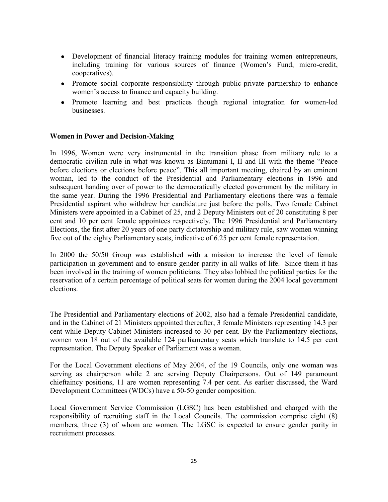- Development of financial literacy training modules for training women entrepreneurs, including training for various sources of finance (Women's Fund, micro-credit, cooperatives).
- Promote social corporate responsibility through public-private partnership to enhance women's access to finance and capacity building.
- Promote learning and best practices though regional integration for women-led businesses.

#### **Women in Power and Decision-Making**

In 1996, Women were very instrumental in the transition phase from military rule to a democratic civilian rule in what was known as Bintumani I, II and III with the theme "Peace before elections or elections before peace". This all important meeting, chaired by an eminent woman, led to the conduct of the Presidential and Parliamentary elections in 1996 and subsequent handing over of power to the democratically elected government by the military in the same year. During the 1996 Presidential and Parliamentary elections there was a female Presidential aspirant who withdrew her candidature just before the polls. Two female Cabinet Ministers were appointed in a Cabinet of 25, and 2 Deputy Ministers out of 20 constituting 8 per cent and 10 per cent female appointees respectively. The 1996 Presidential and Parliamentary Elections, the first after 20 years of one party dictatorship and military rule, saw women winning five out of the eighty Parliamentary seats, indicative of 6.25 per cent female representation.

In 2000 the 50/50 Group was established with a mission to increase the level of female participation in government and to ensure gender parity in all walks of life. Since them it has been involved in the training of women politicians. They also lobbied the political parties for the reservation of a certain percentage of political seats for women during the 2004 local government elections.

The Presidential and Parliamentary elections of 2002, also had a female Presidential candidate, and in the Cabinet of 21 Ministers appointed thereafter, 3 female Ministers representing 14.3 per cent while Deputy Cabinet Ministers increased to 30 per cent. By the Parliamentary elections, women won 18 out of the available 124 parliamentary seats which translate to 14.5 per cent representation. The Deputy Speaker of Parliament was a woman.

For the Local Government elections of May 2004, of the 19 Councils, only one woman was serving as chairperson while 2 are serving Deputy Chairpersons. Out of 149 paramount chieftaincy positions, 11 are women representing 7.4 per cent. As earlier discussed, the Ward Development Committees (WDCs) have a 50-50 gender composition.

Local Government Service Commission (LGSC) has been established and charged with the responsibility of recruiting staff in the Local Councils. The commission comprise eight (8) members, three (3) of whom are women. The LGSC is expected to ensure gender parity in recruitment processes.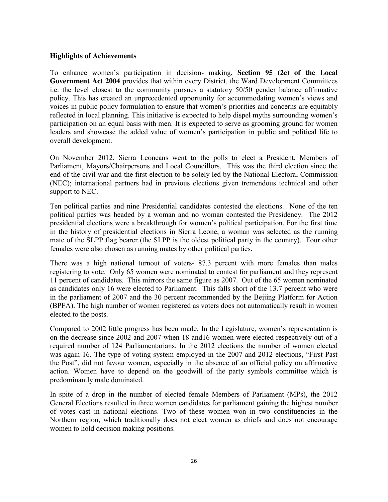#### **Highlights of Achievements**

To enhance women's participation in decision- making, **Section 95 (2c) of the Local Government Act 2004** provides that within every District, the Ward Development Committees i.e. the level closest to the community pursues a statutory 50/50 gender balance affirmative policy. This has created an unprecedented opportunity for accommodating women's views and voices in public policy formulation to ensure that women's priorities and concerns are equitably reflected in local planning. This initiative is expected to help dispel myths surrounding women's participation on an equal basis with men. It is expected to serve as grooming ground for women leaders and showcase the added value of women's participation in public and political life to overall development.

On November 2012, Sierra Leoneans went to the polls to elect a President, Members of Parliament, Mayors/Chairpersons and Local Councillors. This was the third election since the end of the civil war and the first election to be solely led by the National Electoral Commission (NEC); international partners had in previous elections given tremendous technical and other support to NEC.

Ten political parties and nine Presidential candidates contested the elections. None of the ten political parties was headed by a woman and no woman contested the Presidency. The 2012 presidential elections were a breakthrough for women's political participation. For the first time in the history of presidential elections in Sierra Leone, a woman was selected as the running mate of the SLPP flag bearer (the SLPP is the oldest political party in the country). Four other females were also chosen as running mates by other political parties.

There was a high national turnout of voters- 87.3 percent with more females than males registering to vote. Only 65 women were nominated to contest for parliament and they represent 11 percent of candidates. This mirrors the same figure as 2007. Out of the 65 women nominated as candidates only 16 were elected to Parliament. This falls short of the 13.7 percent who were in the parliament of 2007 and the 30 percent recommended by the Beijing Platform for Action (BPFA). The high number of women registered as voters does not automatically result in women elected to the posts.

Compared to 2002 little progress has been made. In the Legislature, women's representation is on the decrease since 2002 and 2007 when 18 and16 women were elected respectively out of a required number of 124 Parliamentarians. In the 2012 elections the number of women elected was again 16. The type of voting system employed in the 2007 and 2012 elections, "First Past the Post", did not favour women, especially in the absence of an official policy on affirmative action. Women have to depend on the goodwill of the party symbols committee which is predominantly male dominated.

In spite of a drop in the number of elected female Members of Parliament (MPs), the 2012 General Elections resulted in three women candidates for parliament gaining the highest number of votes cast in national elections. Two of these women won in two constituencies in the Northern region, which traditionally does not elect women as chiefs and does not encourage women to hold decision making positions.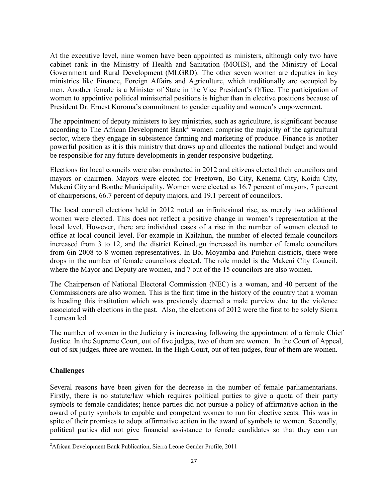At the executive level, nine women have been appointed as ministers, although only two have cabinet rank in the Ministry of Health and Sanitation (MOHS), and the Ministry of Local Government and Rural Development (MLGRD). The other seven women are deputies in key ministries like Finance, Foreign Affairs and Agriculture, which traditionally are occupied by men. Another female is a Minister of State in the Vice President's Office. The participation of women to appointive political ministerial positions is higher than in elective positions because of President Dr. Ernest Koroma's commitment to gender equality and women's empowerment.

The appointment of deputy ministers to key ministries, such as agriculture, is significant because according to The African Development Bank<sup>2</sup> women comprise the majority of the agricultural sector, where they engage in subsistence farming and marketing of produce. Finance is another powerful position as it is this ministry that draws up and allocates the national budget and would be responsible for any future developments in gender responsive budgeting.

Elections for local councils were also conducted in 2012 and citizens elected their councilors and mayors or chairmen. Mayors were elected for Freetown, Bo City, Kenema City, Koidu City, Makeni City and Bonthe Municipality. Women were elected as 16.7 percent of mayors, 7 percent of chairpersons, 66.7 percent of deputy majors, and 19.1 percent of councilors.

The local council elections held in 2012 noted an infinitesimal rise, as merely two additional women were elected. This does not reflect a positive change in women's representation at the local level. However, there are individual cases of a rise in the number of women elected to office at local council level. For example in Kailahun, the number of elected female councilors increased from 3 to 12, and the district Koinadugu increased its number of female councilors from 6in 2008 to 8 women representatives. In Bo, Moyamba and Pujehun districts, there were drops in the number of female councilors elected. The role model is the Makeni City Council, where the Mayor and Deputy are women, and 7 out of the 15 councilors are also women.

The Chairperson of National Electoral Commission (NEC) is a woman, and 40 percent of the Commissioners are also women. This is the first time in the history of the country that a woman is heading this institution which was previously deemed a male purview due to the violence associated with elections in the past. Also, the elections of 2012 were the first to be solely Sierra Leonean led.

The number of women in the Judiciary is increasing following the appointment of a female Chief Justice. In the Supreme Court, out of five judges, two of them are women. In the Court of Appeal, out of six judges, three are women. In the High Court, out of ten judges, four of them are women.

## **Challenges**

Several reasons have been given for the decrease in the number of female parliamentarians. Firstly, there is no statute/law which requires political parties to give a quota of their party symbols to female candidates; hence parties did not pursue a policy of affirmative action in the award of party symbols to capable and competent women to run for elective seats. This was in spite of their promises to adopt affirmative action in the award of symbols to women. Secondly, political parties did not give financial assistance to female candidates so that they can run

 $\frac{1}{2}$ <sup>2</sup>African Development Bank Publication, Sierra Leone Gender Profile, 2011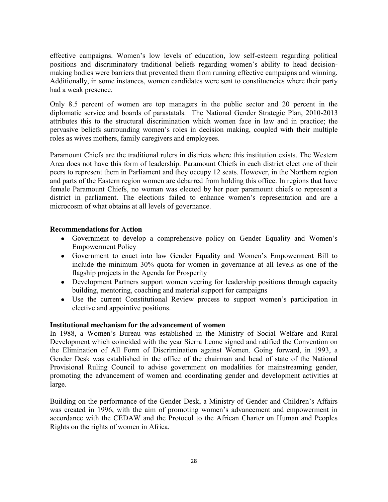effective campaigns. Women's low levels of education, low self-esteem regarding political positions and discriminatory traditional beliefs regarding women's ability to head decisionmaking bodies were barriers that prevented them from running effective campaigns and winning. Additionally, in some instances, women candidates were sent to constituencies where their party had a weak presence.

Only 8.5 percent of women are top managers in the public sector and 20 percent in the diplomatic service and boards of parastatals. The National Gender Strategic Plan, 2010-2013 attributes this to the structural discrimination which women face in law and in practice; the pervasive beliefs surrounding women's roles in decision making, coupled with their multiple roles as wives mothers, family caregivers and employees.

Paramount Chiefs are the traditional rulers in districts where this institution exists. The Western Area does not have this form of leadership. Paramount Chiefs in each district elect one of their peers to represent them in Parliament and they occupy 12 seats. However, in the Northern region and parts of the Eastern region women are debarred from holding this office. In regions that have female Paramount Chiefs, no woman was elected by her peer paramount chiefs to represent a district in parliament. The elections failed to enhance women's representation and are a microcosm of what obtains at all levels of governance.

#### **Recommendations for Action**

- Government to develop a comprehensive policy on Gender Equality and Women's Empowerment Policy
- Government to enact into law Gender Equality and Women's Empowerment Bill to include the minimum 30% quota for women in governance at all levels as one of the flagship projects in the Agenda for Prosperity
- Development Partners support women veering for leadership positions through capacity building, mentoring, coaching and material support for campaigns
- Use the current Constitutional Review process to support women's participation in elective and appointive positions.

#### **Institutional mechanism for the advancement of women**

In 1988, a Women's Bureau was established in the Ministry of Social Welfare and Rural Development which coincided with the year Sierra Leone signed and ratified the Convention on the Elimination of All Form of Discrimination against Women. Going forward, in 1993, a Gender Desk was established in the office of the chairman and head of state of the National Provisional Ruling Council to advise government on modalities for mainstreaming gender, promoting the advancement of women and coordinating gender and development activities at large.

Building on the performance of the Gender Desk, a Ministry of Gender and Children's Affairs was created in 1996, with the aim of promoting women's advancement and empowerment in accordance with the CEDAW and the Protocol to the African Charter on Human and Peoples Rights on the rights of women in Africa.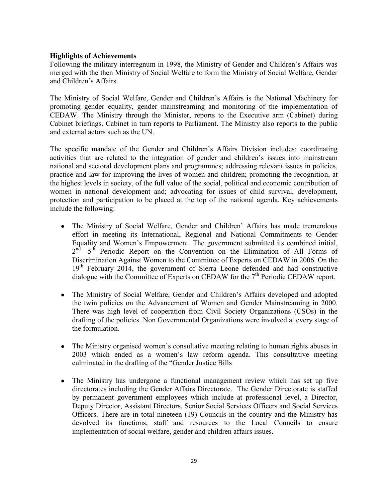#### **Highlights of Achievements**

Following the military interregnum in 1998, the Ministry of Gender and Children's Affairs was merged with the then Ministry of Social Welfare to form the Ministry of Social Welfare, Gender and Children's Affairs.

The Ministry of Social Welfare, Gender and Children's Affairs is the National Machinery for promoting gender equality, gender mainstreaming and monitoring of the implementation of CEDAW. The Ministry through the Minister, reports to the Executive arm (Cabinet) during Cabinet briefings. Cabinet in turn reports to Parliament. The Ministry also reports to the public and external actors such as the UN.

The specific mandate of the Gender and Children's Affairs Division includes: coordinating activities that are related to the integration of gender and children's issues into mainstream national and sectoral development plans and programmes; addressing relevant issues in policies, practice and law for improving the lives of women and children; promoting the recognition, at the highest levels in society, of the full value of the social, political and economic contribution of women in national development and; advocating for issues of child survival, development, protection and participation to be placed at the top of the national agenda. Key achievements include the following:

- $\bullet$ The Ministry of Social Welfare, Gender and Children' Affairs has made tremendous effort in meeting its International, Regional and National Commitments to Gender Equality and Women's Empowerment. The government submitted its combined initial, 2<sup>nd</sup> -5<sup>th</sup> Periodic Report on the Convention on the Elimination of All Forms of Discrimination Against Women to the Committee of Experts on CEDAW in 2006. On the 19<sup>th</sup> February 2014, the government of Sierra Leone defended and had constructive dialogue with the Committee of Experts on CEDAW for the  $7<sup>th</sup>$  Periodic CEDAW report.
- The Ministry of Social Welfare, Gender and Children's Affairs developed and adopted  $\bullet$ the twin policies on the Advancement of Women and Gender Mainstreaming in 2000. There was high level of cooperation from Civil Society Organizations (CSOs) in the drafting of the policies. Non Governmental Organizations were involved at every stage of the formulation.
- The Ministry organised women's consultative meeting relating to human rights abuses in  $\bullet$ 2003 which ended as a women's law reform agenda. This consultative meeting culminated in the drafting of the "Gender Justice Bills
- The Ministry has undergone a functional management review which has set up five  $\bullet$ directorates including the Gender Affairs Directorate. The Gender Directorate is staffed by permanent government employees which include at professional level, a Director, Deputy Director, Assistant Directors, Senior Social Services Officers and Social Services Officers. There are in total nineteen (19) Councils in the country and the Ministry has devolved its functions, staff and resources to the Local Councils to ensure implementation of social welfare, gender and children affairs issues.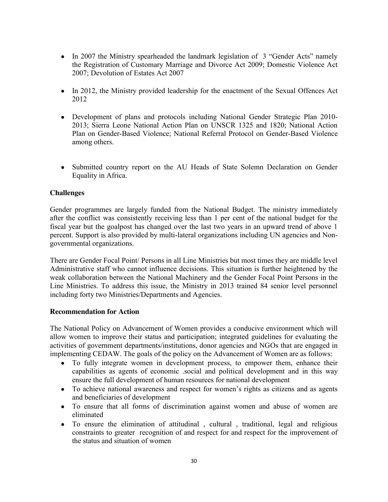- In 2007 the Ministry spearheaded the landmark legislation of 3 "Gender Acts" namely the Registration of Customary Marriage and Divorce Act 2009; Domestic Violence Act 2007; Devolution of Estates Act 2007
- In 2012, the Ministry provided leadership for the enactment of the Sexual Offences Act 2012
- Development of plans and protocols including National Gender Strategic Plan 2010- 2013; Sierra Leone National Action Plan on UNSCR 1325 and 1820; National Action Plan on Gender-Based Violence; National Referral Protocol on Gender-Based Violence among others.
- Submitted country report on the AU Heads of State Solemn Declaration on Gender Equality in Africa.

## **Challenges**

Gender programmes are largely funded from the National Budget. The ministry immediately after the conflict was consistently receiving less than 1 per cent of the national budget for the fiscal year but the goalpost has changed over the last two years in an upward trend of above 1 percent. Support is also provided by multi-lateral organizations including UN agencies and Nongovernmental organizations.

There are Gender Focal Point/ Persons in all Line Ministries but most times they are middle level Administrative staff who cannot influence decisions. This situation is further heightened by the weak collaboration between the National Machinery and the Gender Focal Point Persons in the Line Ministries. To address this issue, the Ministry in 2013 trained 84 senior level personnel including forty two Ministries/Departments and Agencies.

## **Recommendation for Action**

The National Policy on Advancement of Women provides a conducive environment which will allow women to improve their status and participation; integrated guidelines for evaluating the activities of government departments/institutions, donor agencies and NGOs that are engaged in implementing CEDAW. The goals of the policy on the Advancement of Women are as follows:

- To fully integrate women in development process, to empower them, enhance their capabilities as agents of economic .social and political development and in this way ensure the full development of human resources for national development
- To achieve national awareness and respect for women's rights as citizens and as agents and beneficiaries of development
- To ensure that all forms of discrimination against women and abuse of women are eliminated
- To ensure the elimination of attitudinal , cultural , traditional, legal and religious  $\bullet$ constraints to greater recognition of and respect for and respect for the improvement of the status and situation of women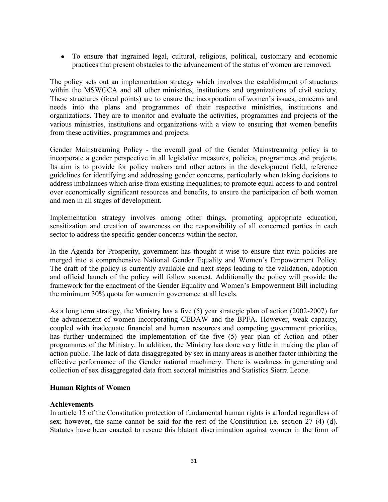To ensure that ingrained legal, cultural, religious, political, customary and economic practices that present obstacles to the advancement of the status of women are removed.

The policy sets out an implementation strategy which involves the establishment of structures within the MSWGCA and all other ministries, institutions and organizations of civil society. These structures (focal points) are to ensure the incorporation of women's issues, concerns and needs into the plans and programmes of their respective ministries, institutions and organizations. They are to monitor and evaluate the activities, programmes and projects of the various ministries, institutions and organizations with a view to ensuring that women benefits from these activities, programmes and projects.

Gender Mainstreaming Policy - the overall goal of the Gender Mainstreaming policy is to incorporate a gender perspective in all legislative measures, policies, programmes and projects. Its aim is to provide for policy makers and other actors in the development field, reference guidelines for identifying and addressing gender concerns, particularly when taking decisions to address imbalances which arise from existing inequalities; to promote equal access to and control over economically significant resources and benefits, to ensure the participation of both women and men in all stages of development.

Implementation strategy involves among other things, promoting appropriate education, sensitization and creation of awareness on the responsibility of all concerned parties in each sector to address the specific gender concerns within the sector.

In the Agenda for Prosperity, government has thought it wise to ensure that twin policies are merged into a comprehensive National Gender Equality and Women's Empowerment Policy. The draft of the policy is currently available and next steps leading to the validation, adoption and official launch of the policy will follow soonest. Additionally the policy will provide the framework for the enactment of the Gender Equality and Women's Empowerment Bill including the minimum 30% quota for women in governance at all levels.

As a long term strategy, the Ministry has a five (5) year strategic plan of action (2002-2007) for the advancement of women incorporating CEDAW and the BPFA. However, weak capacity, coupled with inadequate financial and human resources and competing government priorities, has further undermined the implementation of the five (5) year plan of Action and other programmes of the Ministry. In addition, the Ministry has done very little in making the plan of action public. The lack of data disaggregated by sex in many areas is another factor inhibiting the effective performance of the Gender national machinery. There is weakness in generating and collection of sex disaggregated data from sectoral ministries and Statistics Sierra Leone.

#### **Human Rights of Women**

#### **Achievements**

In article 15 of the Constitution protection of fundamental human rights is afforded regardless of sex; however, the same cannot be said for the rest of the Constitution i.e. section 27 (4) (d). Statutes have been enacted to rescue this blatant discrimination against women in the form of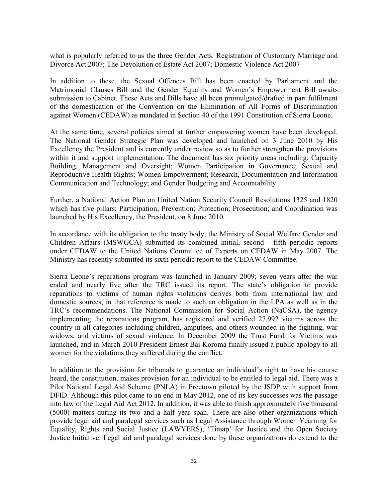what is popularly referred to as the three Gender Acts: Registration of Customary Marriage and Divorce Act 2007; The Devolution of Estate Act 2007; Domestic Violence Act 2007

In addition to these, the Sexual Offences Bill has been enacted by Parliament and the Matrimonial Clauses Bill and the Gender Equality and Women's Empowerment Bill awaits submission to Cabinet. These Acts and Bills have all been promulgated/drafted in part fulfilment of the domestication of the Convention on the Elimination of All Forms of Discrimination against Women (CEDAW) as mandated in Section 40 of the 1991 Constitution of Sierra Leone.

At the same time, several policies aimed at further empowering women have been developed. The National Gender Strategic Plan was developed and launched on 3 June 2010 by His Excellency the President and is currently under review so as to further strengthen the provisions within it and support implementation. The document has six priority areas including: Capacity Building, Management and Oversight; Women Participation in Governance; Sexual and Reproductive Health Rights; Women Empowerment; Research, Documentation and Information Communication and Technology; and Gender Budgeting and Accountability.

Further, a National Action Plan on United Nation Security Council Resolutions 1325 and 1820 which has five pillars: Participation; Prevention; Protection; Prosecution; and Coordination was launched by His Excellency, the President, on 8 June 2010.

In accordance with its obligation to the treaty body, the Ministry of Social Welfare Gender and Children Affairs (MSWGCA) submitted its combined initial, second - fifth periodic reports under CEDAW to the United Nations Committee of Experts on CEDAW in May 2007. The Ministry has recently submitted its sixth periodic report to the CEDAW Committee.

Sierra Leone's reparations program was launched in January 2009; seven years after the war ended and nearly five after the TRC issued its report. The state's obligation to provide reparations to victims of human rights violations derives both from international law and domestic sources, in that reference is made to such an obligation in the LPA as well as in the TRC's recommendations. The National Commission for Social Action (NaCSA), the agency implementing the reparations program, has registered and verified 27,992 victims across the country in all categories including children, amputees, and others wounded in the fighting, war widows, and victims of sexual violence. In December 2009 the Trust Fund for Victims was launched, and in March 2010 President Ernest Bai Koroma finally issued a public apology to all women for the violations they suffered during the conflict.

In addition to the provision for tribunals to guarantee an individual's right to have his course heard, the constitution, makes provision for an individual to be entitled to legal aid. There was a Pilot National Legal Aid Scheme (PNLA) in Freetown piloted by the JSDP with support from DFID. Although this pilot came to an end in May 2012, one of its key successes was the passage into law of the Legal Aid Act 2012. In addition, it was able to finish approximately five thousand (5000) matters during its two and a half year span. There are also other organizations which provide legal aid and paralegal services such as Legal Assistance through Women Yearning for Equality, Rights and Social Justice (LAWYERS), 'Timap' for Justice and the Open Society Justice Initiative. Legal aid and paralegal services done by these organizations do extend to the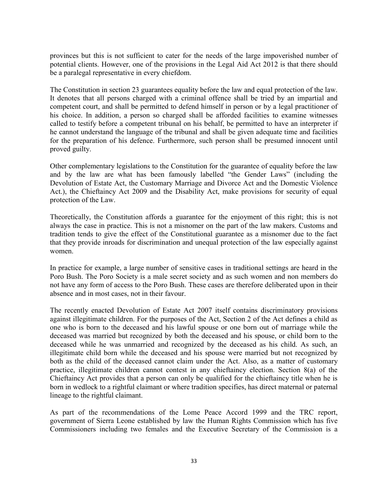provinces but this is not sufficient to cater for the needs of the large impoverished number of potential clients. However, one of the provisions in the Legal Aid Act 2012 is that there should be a paralegal representative in every chiefdom.

The Constitution in section 23 guarantees equality before the law and equal protection of the law. It denotes that all persons charged with a criminal offence shall be tried by an impartial and competent court, and shall be permitted to defend himself in person or by a legal practitioner of his choice. In addition, a person so charged shall be afforded facilities to examine witnesses called to testify before a competent tribunal on his behalf, be permitted to have an interpreter if he cannot understand the language of the tribunal and shall be given adequate time and facilities for the preparation of his defence. Furthermore, such person shall be presumed innocent until proved guilty.

Other complementary legislations to the Constitution for the guarantee of equality before the law and by the law are what has been famously labelled "the Gender Laws" (including the Devolution of Estate Act, the Customary Marriage and Divorce Act and the Domestic Violence Act.), the Chieftaincy Act 2009 and the Disability Act, make provisions for security of equal protection of the Law.

Theoretically, the Constitution affords a guarantee for the enjoyment of this right; this is not always the case in practice. This is not a misnomer on the part of the law makers. Customs and tradition tends to give the effect of the Constitutional guarantee as a misnomer due to the fact that they provide inroads for discrimination and unequal protection of the law especially against women.

In practice for example, a large number of sensitive cases in traditional settings are heard in the Poro Bush. The Poro Society is a male secret society and as such women and non members do not have any form of access to the Poro Bush. These cases are therefore deliberated upon in their absence and in most cases, not in their favour.

The recently enacted Devolution of Estate Act 2007 itself contains discriminatory provisions against illegitimate children. For the purposes of the Act, Section 2 of the Act defines a child as one who is born to the deceased and his lawful spouse or one born out of marriage while the deceased was married but recognized by both the deceased and his spouse, or child born to the deceased while he was unmarried and recognized by the deceased as his child. As such, an illegitimate child born while the deceased and his spouse were married but not recognized by both as the child of the deceased cannot claim under the Act. Also, as a matter of customary practice, illegitimate children cannot contest in any chieftaincy election. Section 8(a) of the Chieftaincy Act provides that a person can only be qualified for the chieftaincy title when he is born in wedlock to a rightful claimant or where tradition specifies, has direct maternal or paternal lineage to the rightful claimant.

As part of the recommendations of the Lome Peace Accord 1999 and the TRC report, government of Sierra Leone established by law the Human Rights Commission which has five Commissioners including two females and the Executive Secretary of the Commission is a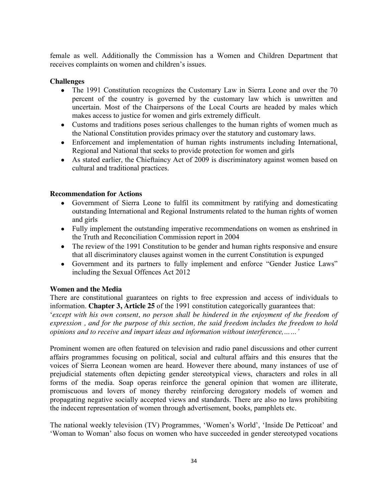female as well. Additionally the Commission has a Women and Children Department that receives complaints on women and children's issues.

## **Challenges**

- The 1991 Constitution recognizes the Customary Law in Sierra Leone and over the 70 percent of the country is governed by the customary law which is unwritten and uncertain. Most of the Chairpersons of the Local Courts are headed by males which makes access to justice for women and girls extremely difficult.
- Customs and traditions poses serious challenges to the human rights of women much as the National Constitution provides primacy over the statutory and customary laws.
- Enforcement and implementation of human rights instruments including International, Regional and National that seeks to provide protection for women and girls
- As stated earlier, the Chieftaincy Act of 2009 is discriminatory against women based on cultural and traditional practices.

#### **Recommendation for Actions**

- Government of Sierra Leone to fulfil its commitment by ratifying and domesticating  $\bullet$ outstanding International and Regional Instruments related to the human rights of women and girls
- Fully implement the outstanding imperative recommendations on women as enshrined in the Truth and Reconciliation Commission report in 2004
- The review of the 1991 Constitution to be gender and human rights responsive and ensure  $\bullet$ that all discriminatory clauses against women in the current Constitution is expunged
- Government and its partners to fully implement and enforce "Gender Justice Laws"  $\bullet$ including the Sexual Offences Act 2012

#### **Women and the Media**

There are constitutional guarantees on rights to free expression and access of individuals to information. **Chapter 3, Article 25** of the 1991 constitution categorically guarantees that:

*'except with his own consent, no person shall be hindered in the enjoyment of the freedom of expression , and for the purpose of this section, the said freedom includes the freedom to hold opinions and to receive and impart ideas and information without interference,……'*

Prominent women are often featured on television and radio panel discussions and other current affairs programmes focusing on political, social and cultural affairs and this ensures that the voices of Sierra Leonean women are heard. However there abound, many instances of use of prejudicial statements often depicting gender stereotypical views, characters and roles in all forms of the media. Soap operas reinforce the general opinion that women are illiterate, promiscuous and lovers of money thereby reinforcing derogatory models of women and propagating negative socially accepted views and standards. There are also no laws prohibiting the indecent representation of women through advertisement, books, pamphlets etc.

The national weekly television (TV) Programmes, 'Women's World', 'Inside De Petticoat' and 'Woman to Woman' also focus on women who have succeeded in gender stereotyped vocations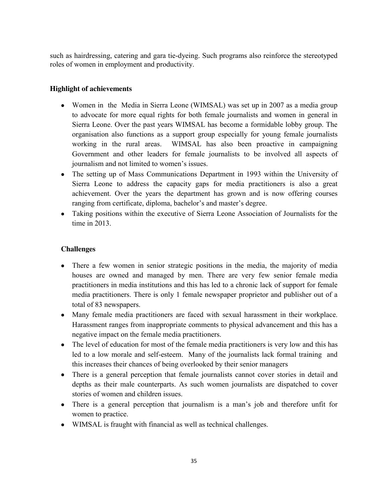such as hairdressing, catering and gara tie-dyeing. Such programs also reinforce the stereotyped roles of women in employment and productivity.

# **Highlight of achievements**

- Women in the Media in Sierra Leone (WIMSAL) was set up in 2007 as a media group to advocate for more equal rights for both female journalists and women in general in Sierra Leone. Over the past years WIMSAL has become a formidable lobby group. The organisation also functions as a support group especially for young female journalists working in the rural areas. WIMSAL has also been proactive in campaigning Government and other leaders for female journalists to be involved all aspects of journalism and not limited to women's issues.
- The setting up of Mass Communications Department in 1993 within the University of Sierra Leone to address the capacity gaps for media practitioners is also a great achievement. Over the years the department has grown and is now offering courses ranging from certificate, diploma, bachelor's and master's degree.
- Taking positions within the executive of Sierra Leone Association of Journalists for the time in 2013.

# **Challenges**

- There a few women in senior strategic positions in the media, the majority of media  $\bullet$ houses are owned and managed by men. There are very few senior female media practitioners in media institutions and this has led to a chronic lack of support for female media practitioners. There is only 1 female newspaper proprietor and publisher out of a total of 83 newspapers.
- Many female media practitioners are faced with sexual harassment in their workplace.  $\bullet$ Harassment ranges from inappropriate comments to physical advancement and this has a negative impact on the female media practitioners.
- The level of education for most of the female media practitioners is very low and this has led to a low morale and self-esteem. Many of the journalists lack formal training and this increases their chances of being overlooked by their senior managers
- There is a general perception that female journalists cannot cover stories in detail and  $\bullet$ depths as their male counterparts. As such women journalists are dispatched to cover stories of women and children issues.
- There is a general perception that journalism is a man's job and therefore unfit for women to practice.
- WIMSAL is fraught with financial as well as technical challenges.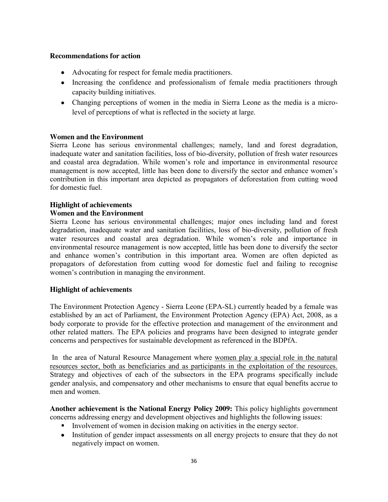#### **Recommendations for action**

- Advocating for respect for female media practitioners.
- Increasing the confidence and professionalism of female media practitioners through capacity building initiatives.
- Changing perceptions of women in the media in Sierra Leone as the media is a microlevel of perceptions of what is reflected in the society at large.

#### **Women and the Environment**

Sierra Leone has serious environmental challenges; namely, land and forest degradation, inadequate water and sanitation facilities, loss of bio-diversity, pollution of fresh water resources and coastal area degradation. While women's role and importance in environmental resource management is now accepted, little has been done to diversify the sector and enhance women's contribution in this important area depicted as propagators of deforestation from cutting wood for domestic fuel.

#### **Highlight of achievements**

#### **Women and the Environment**

Sierra Leone has serious environmental challenges; major ones including land and forest degradation, inadequate water and sanitation facilities, loss of bio-diversity, pollution of fresh water resources and coastal area degradation. While women's role and importance in environmental resource management is now accepted, little has been done to diversify the sector and enhance women's contribution in this important area. Women are often depicted as propagators of deforestation from cutting wood for domestic fuel and failing to recognise women's contribution in managing the environment.

#### **Highlight of achievements**

The Environment Protection Agency - Sierra Leone (EPA-SL) currently headed by a female was established by an act of Parliament, the Environment Protection Agency (EPA) Act, 2008, as a body corporate to provide for the effective protection and management of the environment and other related matters. The EPA policies and programs have been designed to integrate gender concerns and perspectives for sustainable development as referenced in the BDPfA.

In the area of Natural Resource Management where women play a special role in the natural resources sector, both as beneficiaries and as participants in the exploitation of the resources. Strategy and objectives of each of the subsectors in the EPA programs specifically include gender analysis, and compensatory and other mechanisms to ensure that equal benefits accrue to men and women.

**Another achievement is the National Energy Policy 2009:** This policy highlights government concerns addressing energy and development objectives and highlights the following issues:

- Involvement of women in decision making on activities in the energy sector.
- Institution of gender impact assessments on all energy projects to ensure that they do not negatively impact on women.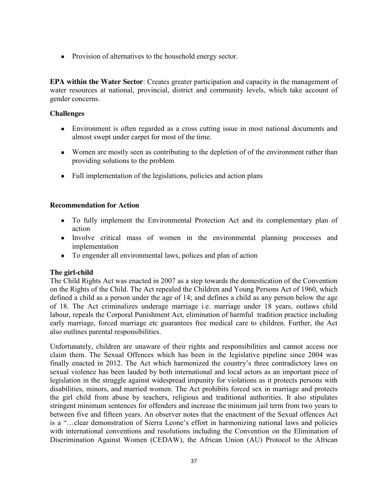• Provision of alternatives to the household energy sector.

**EPA within the Water Sector**: Creates greater participation and capacity in the management of water resources at national, provincial, district and community levels, which take account of gender concerns.

#### **Challenges**

- Environment is often regarded as a cross cutting issue in most national documents and almost swept under carpet for most of the time.
- Women are mostly seen as contributing to the depletion of of the environment rather than providing solutions to the problem
- Full implementation of the legislations, policies and action plans

#### **Recommendation for Action**

- To fully implement the Environmental Protection Act and its complementary plan of action
- Involve critical mass of women in the environmental planning processes and implementation
- To engender all environmental laws, polices and plan of action

## **The girl-child**

The Child Rights Act was enacted in 2007 as a step towards the domestication of the Convention on the Rights of the Child. The Act repealed the Children and Young Persons Act of 1960, which defined a child as a person under the age of 14; and defines a child as any person below the age of 18. The Act criminalizes underage marriage i.e. marriage under 18 years, outlaws child labour, repeals the Corporal Punishment Act, elimination of harmful tradition practice including early marriage, forced marriage etc guarantees free medical care to children. Further, the Act also outlines parental responsibilities.

Unfortunately, children are unaware of their rights and responsibilities and cannot access nor claim them. The Sexual Offences which has been in the legislative pipeline since 2004 was finally enacted in 2012. The Act which harmonized the country's three contradictory laws on sexual violence has been lauded by both international and local actors as an important piece of legislation in the struggle against widespread impunity for violations as it protects persons with disabilities, minors, and married women. The Act prohibits forced sex in marriage and protects the girl child from abuse by teachers, religious and traditional authorities. It also stipulates stringent minimum sentences for offenders and increase the minimum jail term from two years to between five and fifteen years. An observer notes that the enactment of the Sexual offences Act is a "…clear demonstration of Sierra Leone's effort in harmonizing national laws and policies with international conventions and resolutions including the Convention on the Elimination of Discrimination Against Women (CEDAW), the African Union (AU) Protocol to the African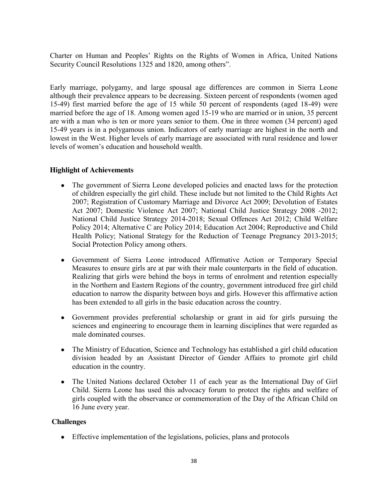Charter on Human and Peoples' Rights on the Rights of Women in Africa, United Nations Security Council Resolutions 1325 and 1820, among others".

Early marriage, polygamy, and large spousal age differences are common in Sierra Leone although their prevalence appears to be decreasing. Sixteen percent of respondents (women aged 15-49) first married before the age of 15 while 50 percent of respondents (aged 18-49) were married before the age of 18. Among women aged 15-19 who are married or in union, 35 percent are with a man who is ten or more years senior to them. One in three women (34 percent) aged 15-49 years is in a polygamous union. Indicators of early marriage are highest in the north and lowest in the West. Higher levels of early marriage are associated with rural residence and lower levels of women's education and household wealth.

## **Highlight of Achievements**

- The government of Sierra Leone developed policies and enacted laws for the protection of children especially the girl child. These include but not limited to the Child Rights Act 2007; Registration of Customary Marriage and Divorce Act 2009; Devolution of Estates Act 2007; Domestic Violence Act 2007; National Child Justice Strategy 2008 -2012; National Child Justice Strategy 2014-2018; Sexual Offences Act 2012; Child Welfare Policy 2014; Alternative C are Policy 2014; Education Act 2004; Reproductive and Child Health Policy; National Strategy for the Reduction of Teenage Pregnancy 2013-2015; Social Protection Policy among others.
- Government of Sierra Leone introduced Affirmative Action or Temporary Special Measures to ensure girls are at par with their male counterparts in the field of education. Realizing that girls were behind the boys in terms of enrolment and retention especially in the Northern and Eastern Regions of the country, government introduced free girl child education to narrow the disparity between boys and girls. However this affirmative action has been extended to all girls in the basic education across the country.
- Government provides preferential scholarship or grant in aid for girls pursuing the  $\bullet$ sciences and engineering to encourage them in learning disciplines that were regarded as male dominated courses.
- The Ministry of Education, Science and Technology has established a girl child education division headed by an Assistant Director of Gender Affairs to promote girl child education in the country.
- $\bullet$ The United Nations declared October 11 of each year as the International Day of Girl Child. Sierra Leone has used this advocacy forum to protect the rights and welfare of girls coupled with the observance or commemoration of the Day of the African Child on 16 June every year.

#### **Challenges**

Effective implementation of the legislations, policies, plans and protocols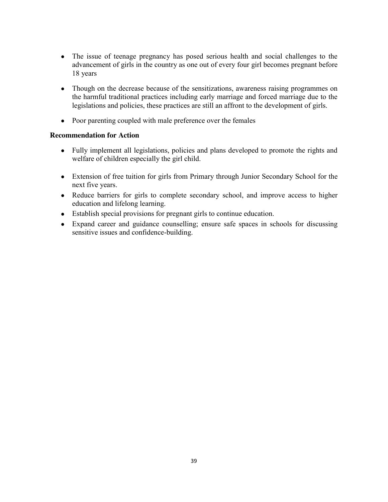- The issue of teenage pregnancy has posed serious health and social challenges to the advancement of girls in the country as one out of every four girl becomes pregnant before 18 years
- Though on the decrease because of the sensitizations, awareness raising programmes on  $\bullet$ the harmful traditional practices including early marriage and forced marriage due to the legislations and policies, these practices are still an affront to the development of girls.
- Poor parenting coupled with male preference over the females

## **Recommendation for Action**

- Fully implement all legislations, policies and plans developed to promote the rights and welfare of children especially the girl child.
- Extension of free tuition for girls from Primary through Junior Secondary School for the next five years.
- Reduce barriers for girls to complete secondary school, and improve access to higher education and lifelong learning.
- Establish special provisions for pregnant girls to continue education.  $\bullet$
- Expand career and guidance counselling; ensure safe spaces in schools for discussing  $\bullet$ sensitive issues and confidence-building.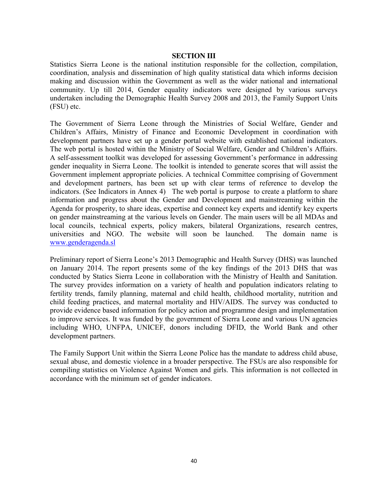#### **SECTION III**

Statistics Sierra Leone is the national institution responsible for the collection, compilation, coordination, analysis and dissemination of high quality statistical data which informs decision making and discussion within the Government as well as the wider national and international community. Up till 2014, Gender equality indicators were designed by various surveys undertaken including the Demographic Health Survey 2008 and 2013, the Family Support Units (FSU) etc.

The Government of Sierra Leone through the Ministries of Social Welfare, Gender and Children's Affairs, Ministry of Finance and Economic Development in coordination with development partners have set up a gender portal website with established national indicators. The web portal is hosted within the Ministry of Social Welfare, Gender and Children's Affairs. A self-assessment toolkit was developed for assessing Government's performance in addressing gender inequality in Sierra Leone. The toolkit is intended to generate scores that will assist the Government implement appropriate policies. A technical Committee comprising of Government and development partners, has been set up with clear terms of reference to develop the indicators. (See Indicators in Annex 4) The web portal is purpose to create a platform to share information and progress about the Gender and Development and mainstreaming within the Agenda for prosperity, to share ideas, expertise and connect key experts and identify key experts on gender mainstreaming at the various levels on Gender. The main users will be all MDAs and local councils, technical experts, policy makers, bilateral Organizations, research centres, universities and NGO. The website will soon be launched. The domain name is www.genderagenda.sl

Preliminary report of Sierra Leone's 2013 Demographic and Health Survey (DHS) was launched on January 2014. The report presents some of the key findings of the 2013 DHS that was conducted by Statics Sierra Leone in collaboration with the Ministry of Health and Sanitation. The survey provides information on a variety of health and population indicators relating to fertility trends, family planning, maternal and child health, childhood mortality, nutrition and child feeding practices, and maternal mortality and HIV/AIDS. The survey was conducted to provide evidence based information for policy action and programme design and implementation to improve services. It was funded by the government of Sierra Leone and various UN agencies including WHO, UNFPA, UNICEF, donors including DFID, the World Bank and other development partners.

The Family Support Unit within the Sierra Leone Police has the mandate to address child abuse, sexual abuse, and domestic violence in a broader perspective. The FSUs are also responsible for compiling statistics on Violence Against Women and girls. This information is not collected in accordance with the minimum set of gender indicators.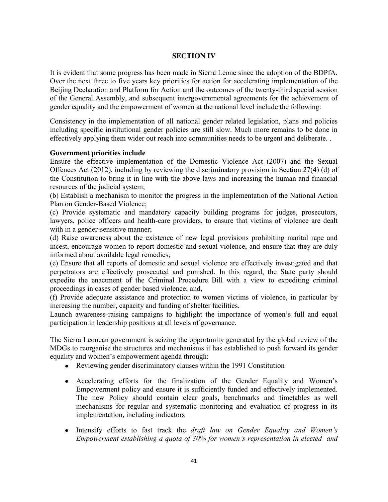## **SECTION IV**

It is evident that some progress has been made in Sierra Leone since the adoption of the BDPfA. Over the next three to five years key priorities for action for accelerating implementation of the Beijing Declaration and Platform for Action and the outcomes of the twenty-third special session of the General Assembly, and subsequent intergovernmental agreements for the achievement of gender equality and the empowerment of women at the national level include the following:

Consistency in the implementation of all national gender related legislation, plans and policies including specific institutional gender policies are still slow. Much more remains to be done in effectively applying them wider out reach into communities needs to be urgent and deliberate. .

#### **Government priorities include**

Ensure the effective implementation of the Domestic Violence Act (2007) and the Sexual Offences Act (2012), including by reviewing the discriminatory provision in Section 27(4) (d) of the Constitution to bring it in line with the above laws and increasing the human and financial resources of the judicial system;

(b) Establish a mechanism to monitor the progress in the implementation of the National Action Plan on Gender-Based Violence;

(c) Provide systematic and mandatory capacity building programs for judges, prosecutors, lawyers, police officers and health-care providers, to ensure that victims of violence are dealt with in a gender-sensitive manner;

(d) Raise awareness about the existence of new legal provisions prohibiting marital rape and incest, encourage women to report domestic and sexual violence, and ensure that they are duly informed about available legal remedies;

(e) Ensure that all reports of domestic and sexual violence are effectively investigated and that perpetrators are effectively prosecuted and punished. In this regard, the State party should expedite the enactment of the Criminal Procedure Bill with a view to expediting criminal proceedings in cases of gender based violence; and,

(f) Provide adequate assistance and protection to women victims of violence, in particular by increasing the number, capacity and funding of shelter facilities.

Launch awareness-raising campaigns to highlight the importance of women's full and equal participation in leadership positions at all levels of governance.

The Sierra Leonean government is seizing the opportunity generated by the global review of the MDGs to reorganise the structures and mechanisms it has established to push forward its gender equality and women's empowerment agenda through:

- Reviewing gender discriminatory clauses within the 1991 Constitution
- Accelerating efforts for the finalization of the Gender Equality and Women's Empowerment policy and ensure it is sufficiently funded and effectively implemented. The new Policy should contain clear goals, benchmarks and timetables as well mechanisms for regular and systematic monitoring and evaluation of progress in its implementation, including indicators
- Intensify efforts to fast track the *draft law on Gender Equality and Women's Empowerment establishing a quota of 30% for women's representation in elected and*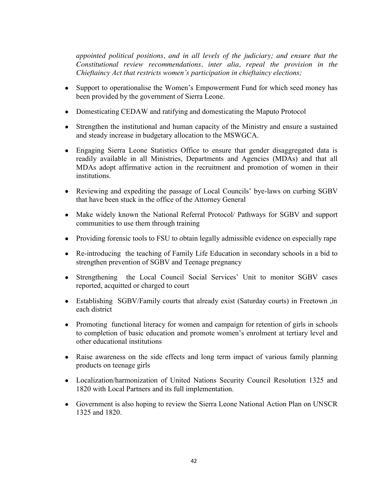*appointed political positions, and in all levels of the judiciary; and ensure that the Constitutional review recommendations, inter alia, repeal the provision in the Chieftaincy Act that restricts women's participation in chieftaincy elections;* 

- Support to operationalise the Women's Empowerment Fund for which seed money has been provided by the government of Sierra Leone.
- Domesticating CEDAW and ratifying and domesticating the Maputo Protocol
- Strengthen the institutional and human capacity of the Ministry and ensure a sustained and steady increase in budgetary allocation to the MSWGCA.
- Engaging Sierra Leone Statistics Office to ensure that gender disaggregated data is readily available in all Ministries, Departments and Agencies (MDAs) and that all MDAs adopt affirmative action in the recruitment and promotion of women in their institutions.
- Reviewing and expediting the passage of Local Councils' bye-laws on curbing SGBV that have been stuck in the office of the Attorney General
- Make widely known the National Referral Protocol/ Pathways for SGBV and support communities to use them through training
- Providing forensic tools to FSU to obtain legally admissible evidence on especially rape
- Re-introducing the teaching of Family Life Education in secondary schools in a bid to strengthen prevention of SGBV and Teenage pregnancy
- Strengthening the Local Council Social Services' Unit to monitor SGBV cases reported, acquitted or charged to court
- Establishing SGBV/Family courts that already exist (Saturday courts) in Freetown ,in each district
- Promoting functional literacy for women and campaign for retention of girls in schools to completion of basic education and promote women's enrolment at tertiary level and other educational institutions
- Raise awareness on the side effects and long term impact of various family planning  $\bullet$ products on teenage girls
- Localization/harmonization of United Nations Security Council Resolution 1325 and 1820 with Local Partners and its full implementation.
- Government is also hoping to review the Sierra Leone National Action Plan on UNSCR 1325 and 1820.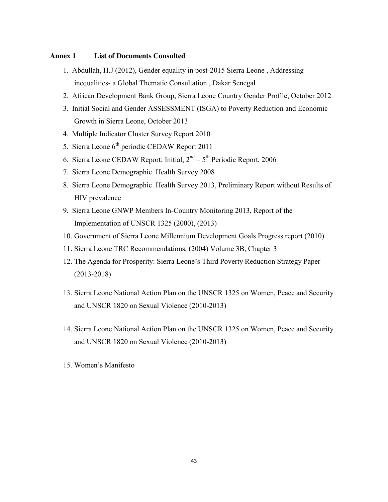#### **Annex 1 List of Documents Consulted**

- 1. Abdullah, H.J (2012), Gender equality in post-2015 Sierra Leone , Addressing inequalities- a Global Thematic Consultation , Dakar Senegal
- 2. African Development Bank Group, Sierra Leone Country Gender Profile, October 2012
- 3. Initial Social and Gender ASSESSMENT (ISGA) to Poverty Reduction and Economic Growth in Sierra Leone, October 2013
- 4. Multiple Indicator Cluster Survey Report 2010
- 5. Sierra Leone  $6<sup>th</sup>$  periodic CEDAW Report 2011
- 6. Sierra Leone CEDAW Report: Initial,  $2<sup>nd</sup> 5<sup>th</sup>$  Periodic Report, 2006
- 7. Sierra Leone Demographic Health Survey 2008
- 8. Sierra Leone Demographic Health Survey 2013, Preliminary Report without Results of HIV prevalence
- 9. Sierra Leone GNWP Members In-Country Monitoring 2013, Report of the Implementation of UNSCR 1325 (2000), (2013)
- 10. Government of Sierra Leone Millennium Development Goals Progress report (2010)
- 11. Sierra Leone TRC Recommendations, (2004) Volume 3B, Chapter 3
- 12. The Agenda for Prosperity: Sierra Leone's Third Poverty Reduction Strategy Paper (2013-2018)
- 13. Sierra Leone National Action Plan on the UNSCR 1325 on Women, Peace and Security and UNSCR 1820 on Sexual Violence (2010-2013)
- 14. Sierra Leone National Action Plan on the UNSCR 1325 on Women, Peace and Security and UNSCR 1820 on Sexual Violence (2010-2013)
- 15. Women's Manifesto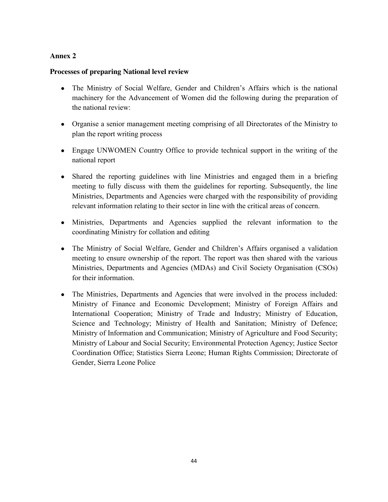# **Annex 2**

## **Processes of preparing National level review**

- The Ministry of Social Welfare, Gender and Children's Affairs which is the national machinery for the Advancement of Women did the following during the preparation of the national review:
- Organise a senior management meeting comprising of all Directorates of the Ministry to plan the report writing process
- Engage UNWOMEN Country Office to provide technical support in the writing of the national report
- Shared the reporting guidelines with line Ministries and engaged them in a briefing meeting to fully discuss with them the guidelines for reporting. Subsequently, the line Ministries, Departments and Agencies were charged with the responsibility of providing relevant information relating to their sector in line with the critical areas of concern.
- Ministries, Departments and Agencies supplied the relevant information to the coordinating Ministry for collation and editing
- The Ministry of Social Welfare, Gender and Children's Affairs organised a validation meeting to ensure ownership of the report. The report was then shared with the various Ministries, Departments and Agencies (MDAs) and Civil Society Organisation (CSOs) for their information.
- $\bullet$ The Ministries, Departments and Agencies that were involved in the process included: Ministry of Finance and Economic Development; Ministry of Foreign Affairs and International Cooperation; Ministry of Trade and Industry; Ministry of Education, Science and Technology; Ministry of Health and Sanitation; Ministry of Defence; Ministry of Information and Communication; Ministry of Agriculture and Food Security; Ministry of Labour and Social Security; Environmental Protection Agency; Justice Sector Coordination Office; Statistics Sierra Leone; Human Rights Commission; Directorate of Gender, Sierra Leone Police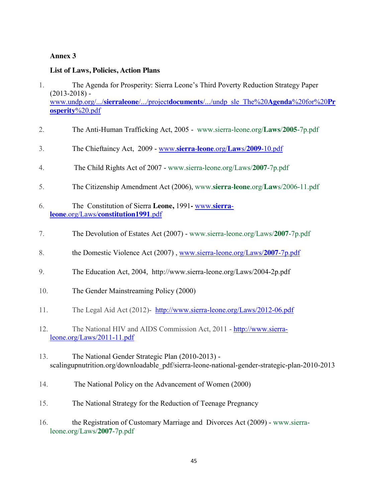# **Annex 3**

# **List of Laws, Policies, Action Plans**

- 1. The Agenda for Prosperity: Sierra Leone's Third Poverty Reduction Strategy Paper  $(2013 - 2018)$  www.undp.org/.../**sierraleone**/.../project**documents**/.../undp\_sle\_The%20**Agenda**%20for%20**Pr osperity**%20.pdf
- 2. The Anti-Human Trafficking Act, 2005 www.sierra-leone.org/**Laws**/**2005**-7p.pdf
- 3. The Chieftaincy Act, 2009 www.**sierra**-**leone**.org/**Law**s/**2009**-10.pdf
- 4. The Child Rights Act of 2007 www.sierra-leone.org/Laws/**2007**-7p.pdf
- 5. The Citizenship Amendment Act (2006), www.**sierra**-**leone**.org/**Law**s/2006-11.pdf
- 6. The Constitution of Sierra **Leone,** 1991**-** www.**sierraleone**.org/Laws/**constitution1991**.pdf
- 7. The Devolution of Estates Act (2007) www.sierra-leone.org/Laws/**2007**-7p.pdf
- 8. the Domestic Violence Act (2007) , www.sierra-leone.org/Laws/**2007**-7p.pdf
- 9. The Education Act, 2004, http://www.sierra-leone.org/Laws/2004-2p.pdf
- 10. The Gender Mainstreaming Policy (2000)
- 11. The Legal Aid Act (2012)- http://www.sierra-leone.org/Laws/2012-06.pdf
- 12. The National HIV and AIDS Commission Act, 2011 http://www.sierraleone.org/Laws/2011-11.pdf
- 13. The National Gender Strategic Plan (2010-2013) scalingupnutrition.org/downloadable\_pdf/sierra-leone-national-gender-strategic-plan-2010-2013
- 14. The National Policy on the Advancement of Women (2000)
- 15. The National Strategy for the Reduction of Teenage Pregnancy
- 16. the Registration of Customary Marriage and Divorces Act (2009) www.sierraleone.org/Laws/**2007**-7p.pdf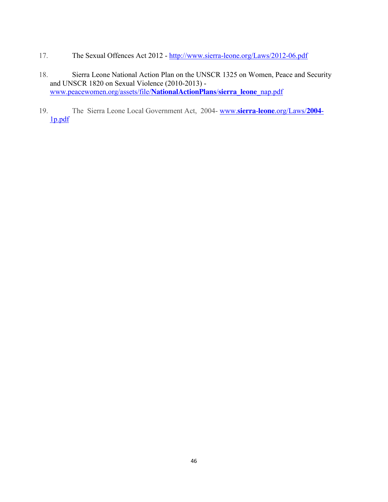- 17. The Sexual Offences Act 2012 http://www.sierra-leone.org/Laws/2012-06.pdf
- 18. Sierra Leone National Action Plan on the UNSCR 1325 on Women, Peace and Security and UNSCR 1820 on Sexual Violence (2010-2013) www.peacewomen.org/assets/file/**NationalActionPlans**/**sierra**\_**leone**\_nap.pdf
- 19. The Sierra Leone Local Government Act, 2004- www.**sierra**-**leone**.org/Laws/**2004** 1p.pdf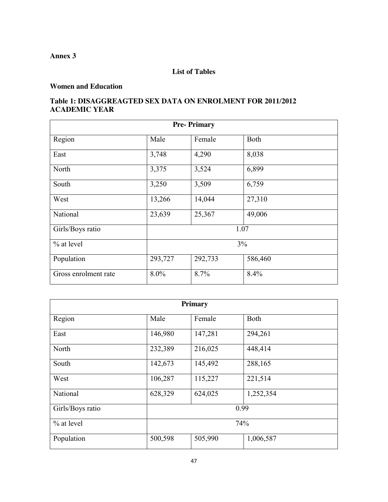**Annex 3**

## **List of Tables**

# **Women and Education**

# **Table 1: DISAGGREAGTED SEX DATA ON ENROLMENT FOR 2011/2012 ACADEMIC YEAR**

| <b>Pre-Primary</b>   |         |         |         |  |  |
|----------------------|---------|---------|---------|--|--|
| Region               | Male    | Female  | Both    |  |  |
| East                 | 3,748   | 4,290   | 8,038   |  |  |
| North                | 3,375   | 3,524   | 6,899   |  |  |
| South                | 3,250   | 3,509   | 6,759   |  |  |
| West                 | 13,266  | 14,044  | 27,310  |  |  |
| National             | 23,639  | 25,367  | 49,006  |  |  |
| Girls/Boys ratio     | 1.07    |         |         |  |  |
| $%$ at level         | 3%      |         |         |  |  |
| Population           | 293,727 | 292,733 | 586,460 |  |  |
| Gross enrolment rate | 8.0%    | 8.7%    | 8.4%    |  |  |

| Primary          |         |         |             |  |  |
|------------------|---------|---------|-------------|--|--|
| Region           | Male    | Female  | <b>Both</b> |  |  |
| East             | 146,980 | 147,281 | 294,261     |  |  |
| North            | 232,389 | 216,025 | 448,414     |  |  |
| South            | 142,673 | 145,492 | 288,165     |  |  |
| West             | 106,287 | 115,227 | 221,514     |  |  |
| National         | 628,329 | 624,025 | 1,252,354   |  |  |
| Girls/Boys ratio | 0.99    |         |             |  |  |
| % at level       | 74%     |         |             |  |  |
| Population       | 500,598 | 505,990 | 1,006,587   |  |  |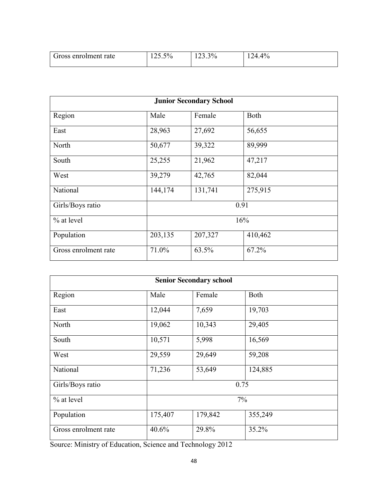| Gross enrolment rate | $\sim$ $\sim$<br>$\sim$ $\sim$<br>$v_{\alpha}$<br>7 U<br>12J.J | 30/<br>$\sim$<br>1 P J<br>ے . | 40 <sub>4</sub><br>$2\pi$<br>`/G<br>__<br>. . |
|----------------------|----------------------------------------------------------------|-------------------------------|-----------------------------------------------|
|                      |                                                                |                               |                                               |

| <b>Junior Secondary School</b> |         |         |         |  |  |
|--------------------------------|---------|---------|---------|--|--|
| Region                         | Male    | Female  | Both    |  |  |
| East                           | 28,963  | 27,692  | 56,655  |  |  |
| North                          | 50,677  | 39,322  | 89,999  |  |  |
| South                          | 25,255  | 21,962  | 47,217  |  |  |
| West                           | 39,279  | 42,765  | 82,044  |  |  |
| National                       | 144,174 | 131,741 | 275,915 |  |  |
| Girls/Boys ratio               | 0.91    |         |         |  |  |
| $%$ at level                   | 16%     |         |         |  |  |
| Population                     | 203,135 | 207,327 | 410,462 |  |  |
| Gross enrolment rate           | 71.0%   | 63.5%   | 67.2%   |  |  |

| <b>Senior Secondary school</b> |         |         |             |  |  |
|--------------------------------|---------|---------|-------------|--|--|
| Region                         | Male    | Female  | <b>Both</b> |  |  |
| East                           | 12,044  | 7,659   | 19,703      |  |  |
| North                          | 19,062  | 10,343  | 29,405      |  |  |
| South                          | 10,571  | 5,998   | 16,569      |  |  |
| West                           | 29,559  | 29,649  | 59,208      |  |  |
| National                       | 71,236  | 53,649  | 124,885     |  |  |
| Girls/Boys ratio               |         | 0.75    |             |  |  |
| $%$ at level                   | 7%      |         |             |  |  |
| Population                     | 175,407 | 179,842 | 355,249     |  |  |
| Gross enrolment rate           | 40.6%   | 29.8%   | 35.2%       |  |  |

Source: Ministry of Education, Science and Technology 2012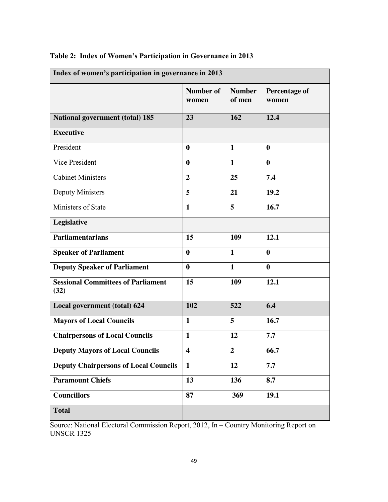| Index of women's participation in governance in 2013 |                           |                         |                               |  |
|------------------------------------------------------|---------------------------|-------------------------|-------------------------------|--|
|                                                      | <b>Number of</b><br>women | <b>Number</b><br>of men | <b>Percentage of</b><br>women |  |
| <b>National government (total) 185</b>               | 23                        | 162                     | 12.4                          |  |
| <b>Executive</b>                                     |                           |                         |                               |  |
| President                                            | $\boldsymbol{0}$          | $\mathbf{1}$            | $\boldsymbol{0}$              |  |
| Vice President                                       | $\bf{0}$                  | $\mathbf{1}$            | $\boldsymbol{0}$              |  |
| <b>Cabinet Ministers</b>                             | $\overline{2}$            | 25                      | 7.4                           |  |
| <b>Deputy Ministers</b>                              | 5                         | 21                      | 19.2                          |  |
| Ministers of State                                   | $\mathbf{1}$              | 5                       | 16.7                          |  |
| Legislative                                          |                           |                         |                               |  |
| <b>Parliamentarians</b>                              | 15                        | 109                     | 12.1                          |  |
| <b>Speaker of Parliament</b>                         | $\bf{0}$                  | $\mathbf{1}$            | $\boldsymbol{0}$              |  |
| <b>Deputy Speaker of Parliament</b>                  | $\bf{0}$                  | $\mathbf{1}$            | $\boldsymbol{0}$              |  |
| <b>Sessional Committees of Parliament</b><br>(32)    | 15                        | 109                     | 12.1                          |  |
| Local government (total) 624                         | 102                       | 522                     | 6.4                           |  |
| <b>Mayors of Local Councils</b>                      | $\mathbf{1}$              | 5                       | 16.7                          |  |
| <b>Chairpersons of Local Councils</b>                | $\mathbf{1}$              | 12                      | 7.7                           |  |
| <b>Deputy Mayors of Local Councils</b>               | $\overline{\mathbf{4}}$   | $\overline{2}$          | 66.7                          |  |
| <b>Deputy Chairpersons of Local Councils</b>         | $\mathbf{1}$              | 12                      | 7.7                           |  |
| <b>Paramount Chiefs</b>                              | 13                        | 136                     | 8.7                           |  |
| <b>Councillors</b>                                   | 87                        | 369                     | 19.1                          |  |
| <b>Total</b>                                         |                           |                         |                               |  |

# **Table 2: Index of Women's Participation in Governance in 2013**

Source: National Electoral Commission Report, 2012, In – Country Monitoring Report on UNSCR 1325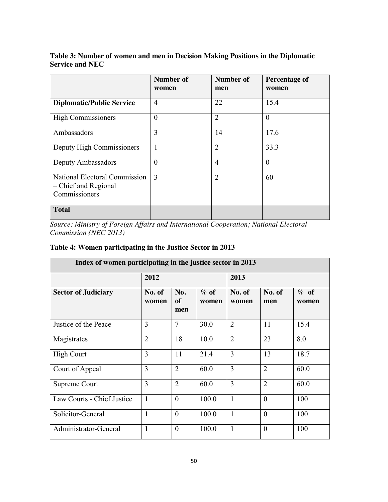# **Table 3: Number of women and men in Decision Making Positions in the Diplomatic Service and NEC**

|                                                                        | <b>Number of</b><br>women | <b>Number of</b><br>men | <b>Percentage of</b><br>women |
|------------------------------------------------------------------------|---------------------------|-------------------------|-------------------------------|
| <b>Diplomatic/Public Service</b>                                       | 4                         | 22                      | 15.4                          |
| <b>High Commissioners</b>                                              | $\overline{0}$            | $\overline{2}$          | $\theta$                      |
| Ambassadors                                                            | 3                         | 14                      | 17.6                          |
| Deputy High Commissioners                                              | 1                         | $\overline{2}$          | 33.3                          |
| Deputy Ambassadors                                                     | $\overline{0}$            | $\overline{4}$          | $\boldsymbol{0}$              |
| National Electoral Commission<br>- Chief and Regional<br>Commissioners | 3                         | $\overline{2}$          | 60                            |
| <b>Total</b>                                                           |                           |                         |                               |

*Source: Ministry of Foreign Affairs and International Cooperation; National Electoral Commission {NEC 2013)*

# **Table 4: Women participating in the Justice Sector in 2013**

| Index of women participating in the justice sector in 2013 |                 |                  |                  |                 |                |               |
|------------------------------------------------------------|-----------------|------------------|------------------|-----------------|----------------|---------------|
|                                                            | 2012            |                  |                  | 2013            |                |               |
| <b>Sector of Judiciary</b>                                 | No. of<br>women | No.<br>of<br>men | $\%$ of<br>women | No. of<br>women | No. of<br>men  | % of<br>women |
| Justice of the Peace                                       | 3               | 7                | 30.0             | $\overline{2}$  | 11             | 15.4          |
| Magistrates                                                | $\overline{2}$  | 18               | 10.0             | $\overline{2}$  | 23             | 8.0           |
| <b>High Court</b>                                          | 3               | 11               | 21.4             | $\overline{3}$  | 13             | 18.7          |
| Court of Appeal                                            | 3               | $\overline{2}$   | 60.0             | 3               | $\overline{2}$ | 60.0          |
| Supreme Court                                              | 3               | $\overline{2}$   | 60.0             | 3               | $\overline{2}$ | 60.0          |
| Law Courts - Chief Justice                                 | $\mathbf{1}$    | $\theta$         | 100.0            | $\mathbf{1}$    | $\theta$       | 100           |
| Solicitor-General                                          | 1               | $\theta$         | 100.0            | $\mathbf{1}$    | $\theta$       | 100           |
| Administrator-General                                      | $\mathbf{1}$    | $\mathbf{0}$     | 100.0            | $\mathbf{1}$    | $\mathbf{0}$   | 100           |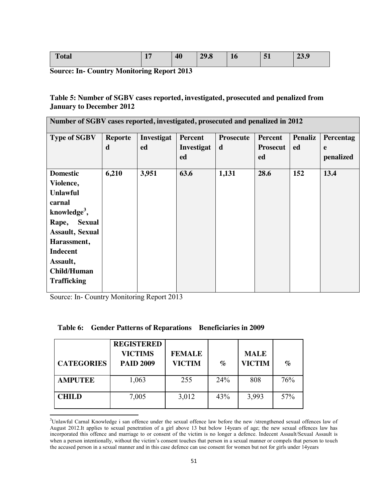**Source: In- Country Monitoring Report 2013**

## **Table 5: Number of SGBV cases reported, investigated, prosecuted and penalized from January to December 2012**

| Number of SGBV cases reported, investigated, prosecuted and penalized in 2012 |                |            |                |                  |                 |                |           |
|-------------------------------------------------------------------------------|----------------|------------|----------------|------------------|-----------------|----------------|-----------|
| <b>Type of SGBV</b>                                                           | <b>Reporte</b> | Investigat | <b>Percent</b> | <b>Prosecute</b> | <b>Percent</b>  | <b>Penaliz</b> | Percentag |
|                                                                               | d              | ed         | Investigat     | d                | <b>Prosecut</b> | ed             | e         |
|                                                                               |                |            | ed             |                  | ed              |                | penalized |
| <b>Domestic</b>                                                               | 6,210          | 3,951      | 63.6           | 1,131            | 28.6            | 152            | 13.4      |
| Violence,                                                                     |                |            |                |                  |                 |                |           |
| <b>Unlawful</b>                                                               |                |            |                |                  |                 |                |           |
| carnal                                                                        |                |            |                |                  |                 |                |           |
| knowledge <sup>3</sup> ,                                                      |                |            |                |                  |                 |                |           |
| <b>Sexual</b><br>Rape,                                                        |                |            |                |                  |                 |                |           |
| <b>Assault, Sexual</b>                                                        |                |            |                |                  |                 |                |           |
| Harassment,                                                                   |                |            |                |                  |                 |                |           |
| <b>Indecent</b>                                                               |                |            |                |                  |                 |                |           |
| Assault,                                                                      |                |            |                |                  |                 |                |           |
| <b>Child/Human</b>                                                            |                |            |                |                  |                 |                |           |
| <b>Trafficking</b>                                                            |                |            |                |                  |                 |                |           |

Source: In- Country Monitoring Report 2013

|  | Table 6: Gender Patterns of Reparations Beneficiaries in 2009 |  |
|--|---------------------------------------------------------------|--|
|--|---------------------------------------------------------------|--|

| <b>CATEGORIES</b> | <b>REGISTERED</b><br><b>VICTIMS</b><br><b>PAID 2009</b> | <b>FEMALE</b><br><b>VICTIM</b> | $\%$ | <b>MALE</b><br><b>VICTIM</b> | $\mathcal{O}'_0$ |
|-------------------|---------------------------------------------------------|--------------------------------|------|------------------------------|------------------|
| <b>AMPUTEE</b>    | 1,063                                                   | 255                            | 24%  | 808                          | 76%              |
| <b>CHILD</b>      | 7,005                                                   | 3,012                          | 43%  | 3,993                        | 57%              |

<sup>&</sup>lt;sup>2</sup><br>3 <sup>3</sup>Unlawful Carnal Knowledge i san offence under the sexual offence law before the new /strengthened sexual offences law of August 2012.It applies to sexual penetration of a girl above 13 but below 14years of age; the new sexual offences law has incorporated this offence and marriage to or consent of the victim is no longer a defence. Indecent Assault/Sexual Assault is when a person intentionally, without the victim's consent touches that person in a sexual manner or compels that person to touch the accused person in a sexual manner and in this case defence can use consent for women but not for girls under 14years